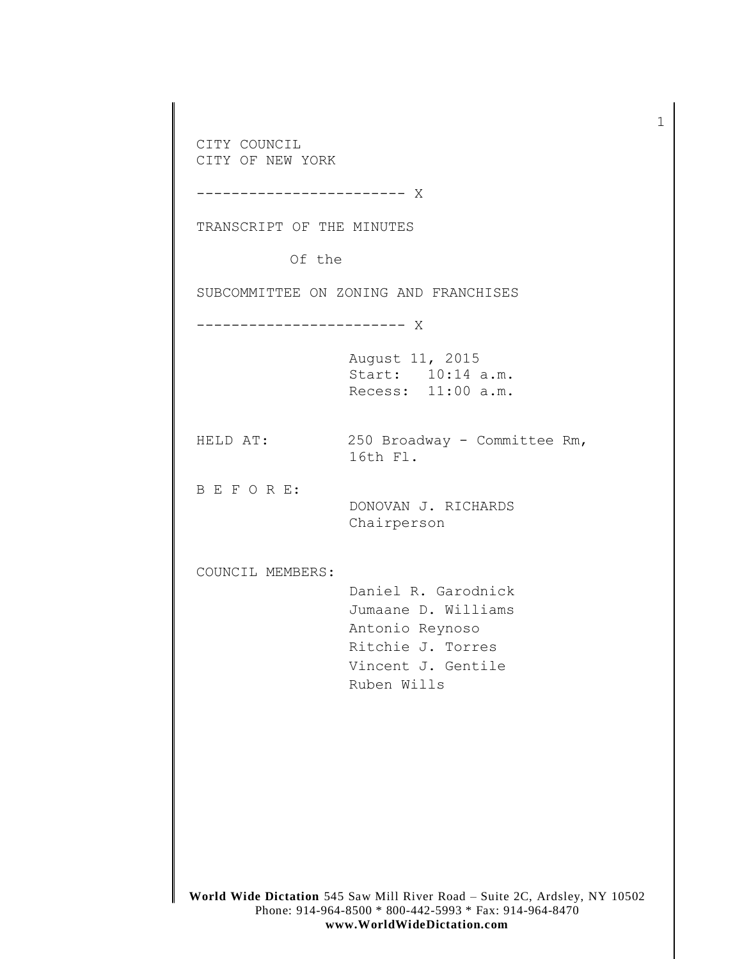**World Wide Dictation** 545 Saw Mill River Road – Suite 2C, Ardsley, NY 10502 Phone: 914-964-8500 \* 800-442-5993 \* Fax: 914-964-8470 CITY COUNCIL CITY OF NEW YORK ------------------------ X TRANSCRIPT OF THE MINUTES Of the SUBCOMMITTEE ON ZONING AND FRANCHISES ------------------------ X August 11, 2015 Start: 10:14 a.m. Recess: 11:00 a.m. HELD AT: 250 Broadway - Committee Rm, 16th Fl. B E F O R E: DONOVAN J. RICHARDS Chairperson COUNCIL MEMBERS: Daniel R. Garodnick Jumaane D. Williams Antonio Reynoso Ritchie J. Torres Vincent J. Gentile Ruben Wills

1

**www.WorldWideDictation.com**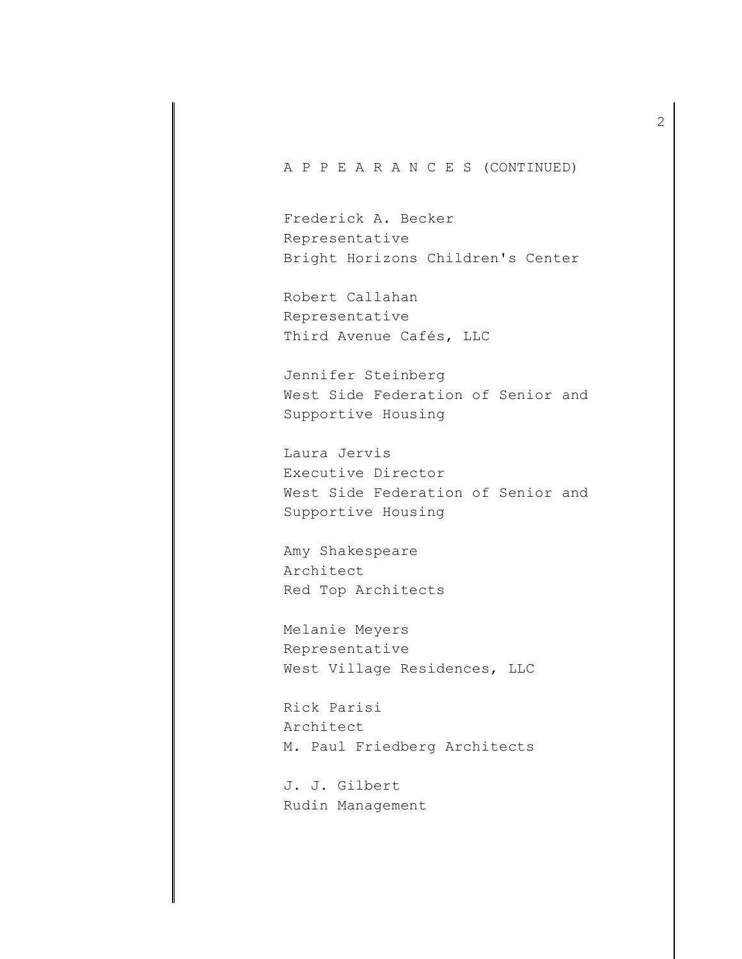## A P P E A R A N C E S (CONTINUED)

Frederick A. Becker Representative Bright Horizons Children's Center

Robert Callahan Representative Third Avenue Cafés, LLC

Jennifer Steinberg West Side Federation of Senior and Supportive Housing

Laura Jervis Executive Director West Side Federation of Senior and Supportive Housing

Amy Shakespeare Architect Red Top Architects

Melanie Meyers Representative West Village Residences, LLC

Rick Parisi Architect M. Paul Friedberg Architects

J. J. Gilbert Rudin Management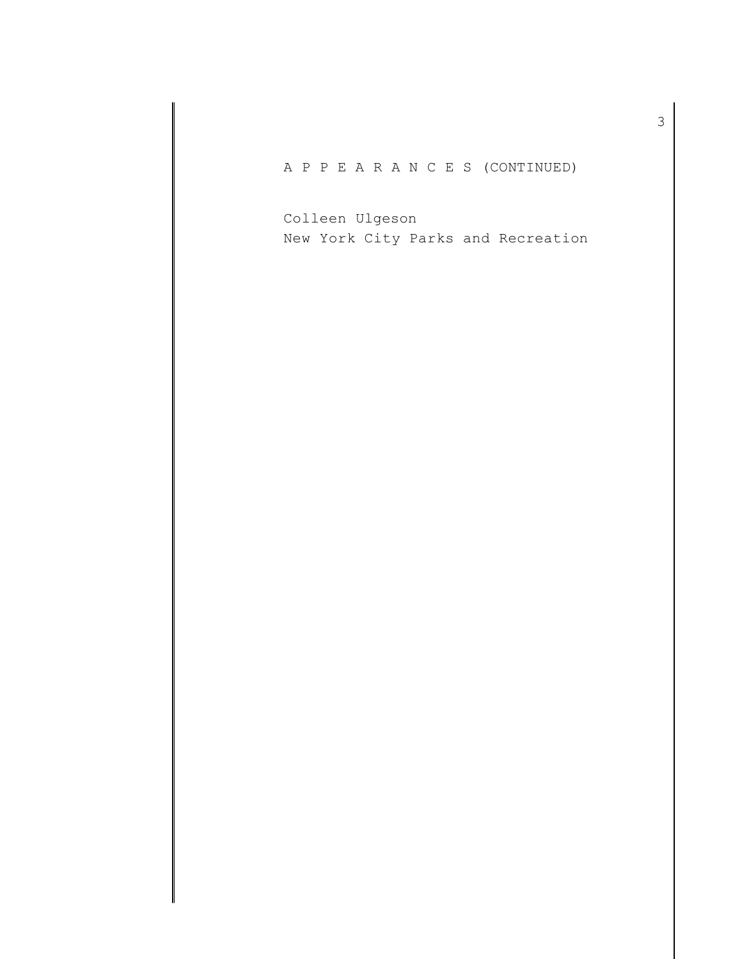A P P E A R A N C E S (CONTINUED)

Colleen Ulgeson New York City Parks and Recreation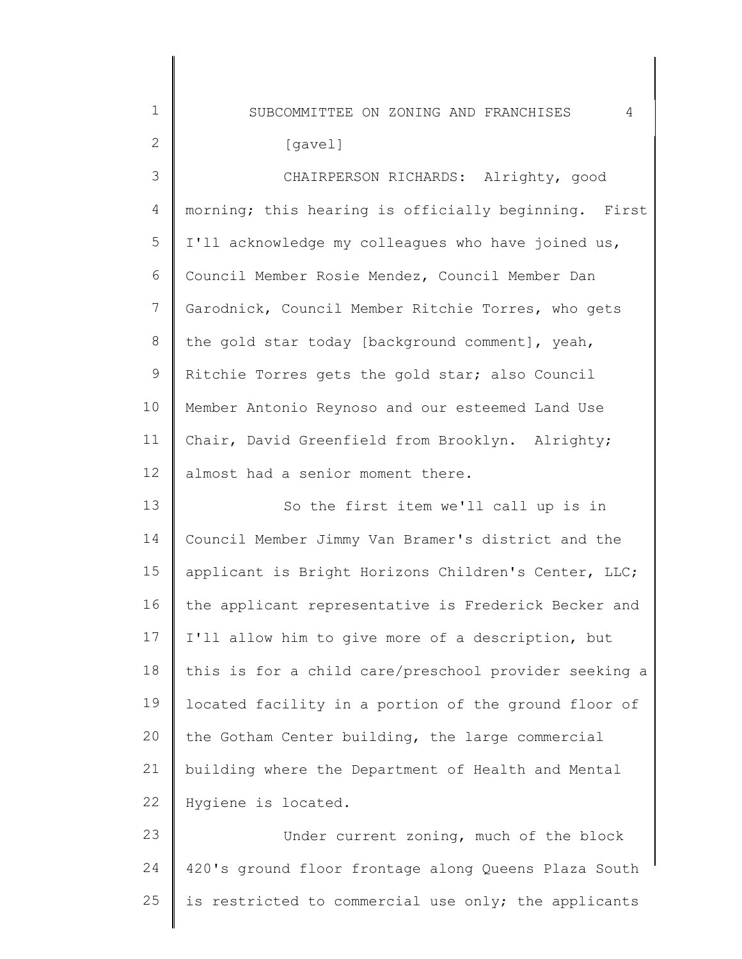1 2 3 4 5 6 7 8 9 10 11 12 13 14 15 16 17 18 19  $20$ 21 22 23 24 SUBCOMMITTEE ON ZONING AND FRANCHISES 4 morning; this hearing is officially beginning. First  $\vert$ [gavel] CHAIRPERSON RICHARDS: Alrighty, good I'll acknowledge my colleagues who have joined us, Council Member Rosie Mendez, Council Member Dan Garodnick, Council Member Ritchie Torres, who gets the gold star today [background comment], yeah, Ritchie Torres gets the gold star; also Council Member Antonio Reynoso and our esteemed Land Use Chair, David Greenfield from Brooklyn. Alrighty; almost had a senior moment there. So the first item we'll call up is in Council Member Jimmy Van Bramer's district and the applicant is Bright Horizons Children's Center, LLC; the applicant representative is Frederick Becker and I'll allow him to give more of a description, but this is for a child care/preschool provider seeking a located facility in a portion of the ground floor of the Gotham Center building, the large commercial building where the Department of Health and Mental Hygiene is located. Under current zoning, much of the block 420's ground floor frontage along Queens Plaza South

is restricted to commercial use only; the applicants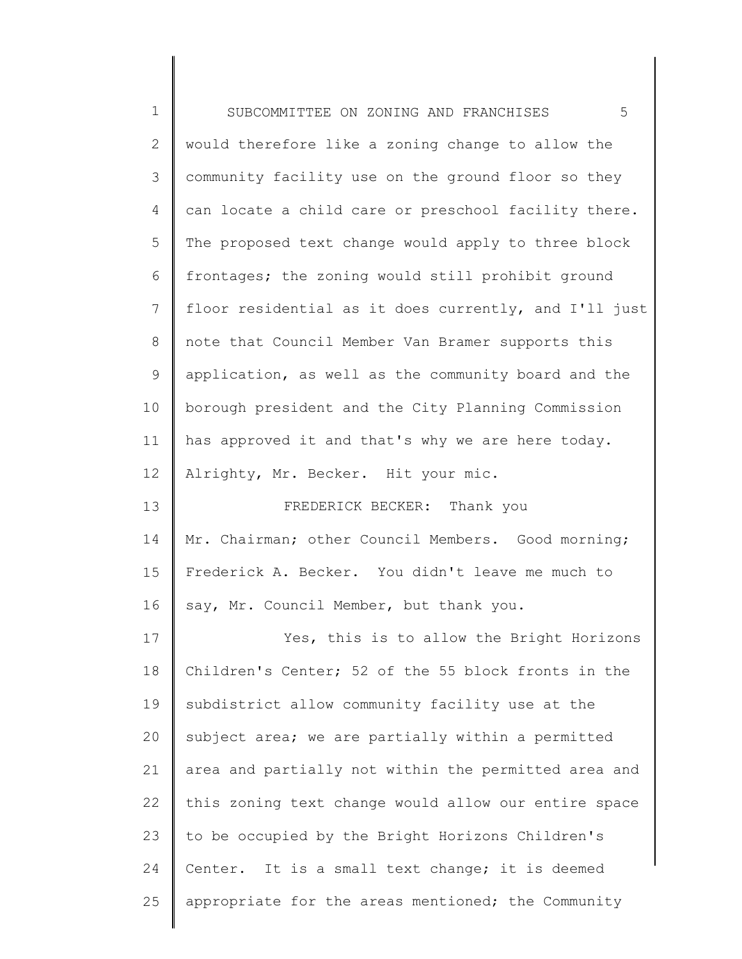| $\mathbf 1$     | 5<br>SUBCOMMITTEE ON ZONING AND FRANCHISES            |
|-----------------|-------------------------------------------------------|
| 2               | would therefore like a zoning change to allow the     |
| 3               | community facility use on the ground floor so they    |
| 4               | can locate a child care or preschool facility there.  |
| 5               | The proposed text change would apply to three block   |
| 6               | frontages; the zoning would still prohibit ground     |
| 7               | floor residential as it does currently, and I'll just |
| $8\,$           | note that Council Member Van Bramer supports this     |
| $\mathsf 9$     | application, as well as the community board and the   |
| 10              | borough president and the City Planning Commission    |
| 11              | has approved it and that's why we are here today.     |
| 12 <sup>°</sup> | Alrighty, Mr. Becker. Hit your mic.                   |
| 13              | FREDERICK BECKER: Thank you                           |
| 14              | Mr. Chairman; other Council Members. Good morning;    |
| 15              | Frederick A. Becker. You didn't leave me much to      |
| 16              | say, Mr. Council Member, but thank you.               |
| 17              | Yes, this is to allow the Bright Horizons             |
| 18              | Children's Center; 52 of the 55 block fronts in the   |
| 19              | subdistrict allow community facility use at the       |
| 20              | subject area; we are partially within a permitted     |
| 21              | area and partially not within the permitted area and  |
| 22              | this zoning text change would allow our entire space  |
| 23              | to be occupied by the Bright Horizons Children's      |
| 24              | Center. It is a small text change; it is deemed       |
| 25              | appropriate for the areas mentioned; the Community    |

∥ ∥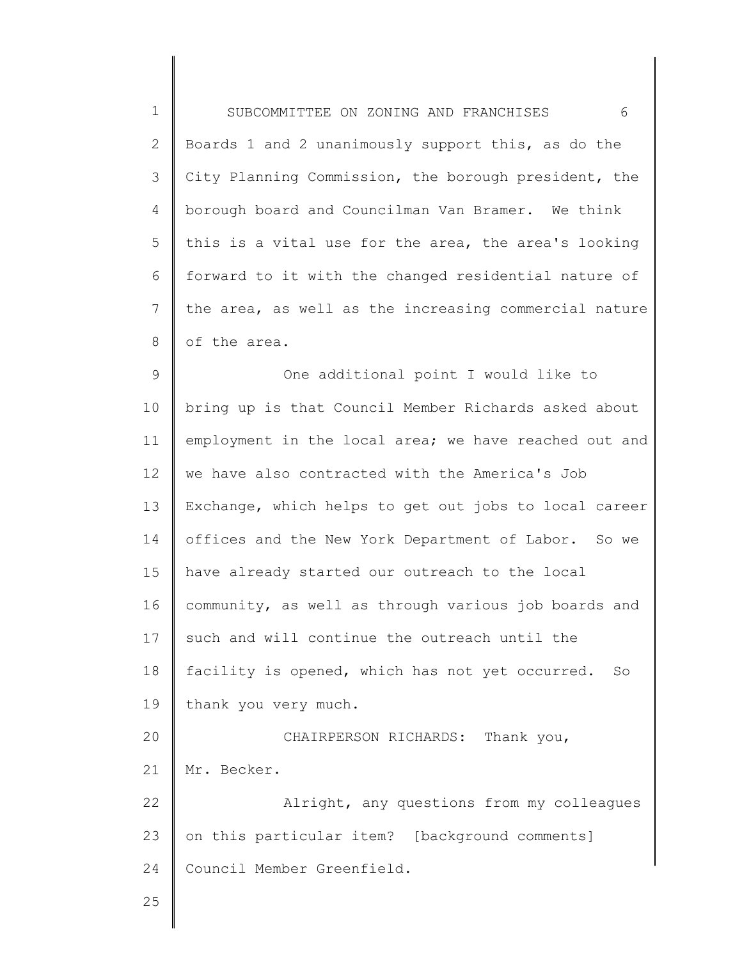| $\mathbf 1$    | 6<br>SUBCOMMITTEE ON ZONING AND FRANCHISES            |
|----------------|-------------------------------------------------------|
| $\mathbf{2}$   | Boards 1 and 2 unanimously support this, as do the    |
| 3              | City Planning Commission, the borough president, the  |
| $\overline{4}$ | borough board and Councilman Van Bramer. We think     |
| 5              | this is a vital use for the area, the area's looking  |
| 6              | forward to it with the changed residential nature of  |
| 7              | the area, as well as the increasing commercial nature |
| 8              | of the area.                                          |
| 9              | One additional point I would like to                  |
| 10             | bring up is that Council Member Richards asked about  |
| 11             | employment in the local area; we have reached out and |
| 12             | we have also contracted with the America's Job        |
| 13             | Exchange, which helps to get out jobs to local career |
| 14             | offices and the New York Department of Labor. So we   |
| 15             | have already started our outreach to the local        |
| 16             | community, as well as through various job boards and  |
| 17             | such and will continue the outreach until the         |
| 18             | facility is opened, which has not yet occurred.<br>So |
| 19             | thank you very much.                                  |
| 20             | CHAIRPERSON RICHARDS: Thank you,                      |
| 21             | Mr. Becker.                                           |
| 22             | Alright, any questions from my colleagues             |
| 23             | on this particular item? [background comments]        |
| 24             | Council Member Greenfield.                            |
| 25             |                                                       |
|                |                                                       |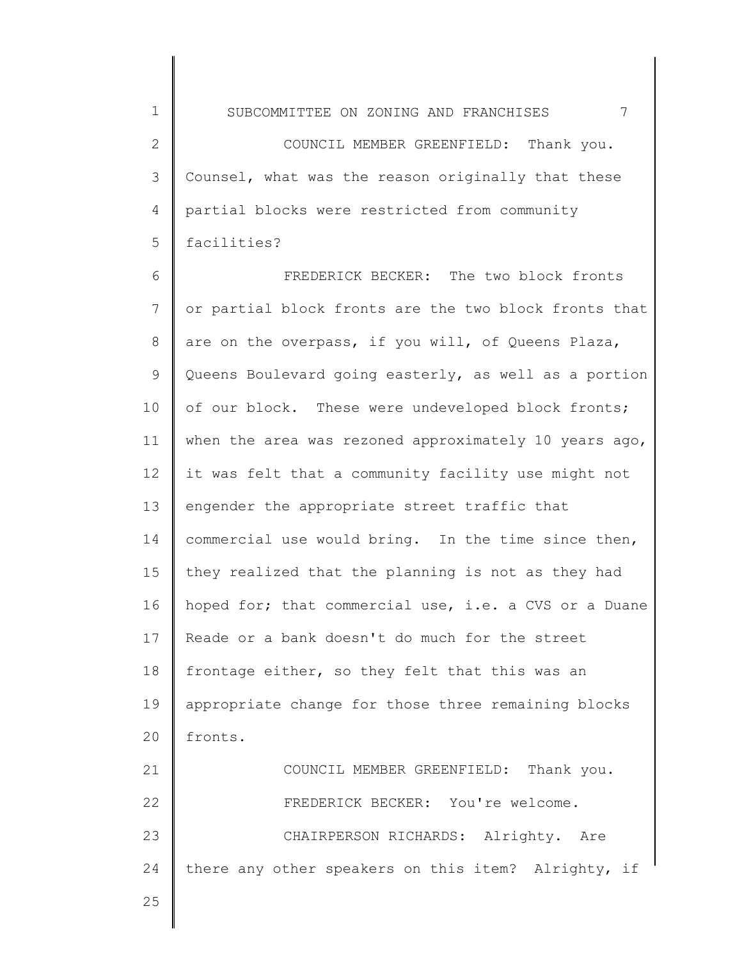1 2 3 4 5 SUBCOMMITTEE ON ZONING AND FRANCHISES 7 COUNCIL MEMBER GREENFIELD: Thank you. Counsel, what was the reason originally that these partial blocks were restricted from community facilities?

6 7 8 9 10 11 12 13 14 15 16 17 18 19 20 21 22 23 FREDERICK BECKER: The two block fronts or partial block fronts are the two block fronts that are on the overpass, if you will, of Queens Plaza, Queens Boulevard going easterly, as well as a portion of our block. These were undeveloped block fronts; when the area was rezoned approximately 10 years ago, it was felt that a community facility use might not engender the appropriate street traffic that commercial use would bring. In the time since then, they realized that the planning is not as they had hoped for; that commercial use, i.e. a CVS or a Duane Reade or a bank doesn't do much for the street frontage either, so they felt that this was an appropriate change for those three remaining blocks fronts. COUNCIL MEMBER GREENFIELD: Thank you. FREDERICK BECKER: You're welcome. CHAIRPERSON RICHARDS: Alrighty. Are

24 there any other speakers on this item? Alrighty, if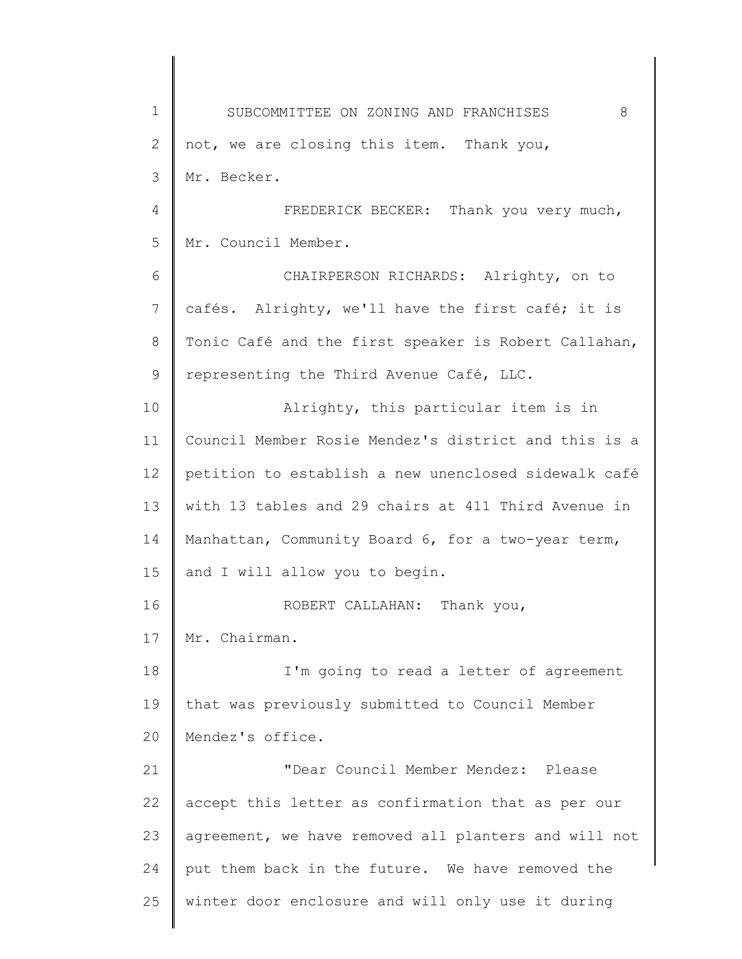1 2 3 4 5 6 7 8 9 10 11 12 13 14 15 16 17 18 19 20 21 22 23 24 25 SUBCOMMITTEE ON ZONING AND FRANCHISES 8 not, we are closing this item. Thank you, Mr. Becker. FREDERICK BECKER: Thank you very much, Mr. Council Member. CHAIRPERSON RICHARDS: Alrighty, on to cafés. Alrighty, we'll have the first café; it is Tonic Café and the first speaker is Robert Callahan, representing the Third Avenue Café, LLC. Alrighty, this particular item is in Council Member Rosie Mendez's district and this is a petition to establish a new unenclosed sidewalk café with 13 tables and 29 chairs at 411 Third Avenue in Manhattan, Community Board 6, for a two-year term, and I will allow you to begin. ROBERT CALLAHAN: Thank you, Mr. Chairman. I'm going to read a letter of agreement that was previously submitted to Council Member Mendez's office. "Dear Council Member Mendez: Please accept this letter as confirmation that as per our agreement, we have removed all planters and will not put them back in the future. We have removed the winter door enclosure and will only use it during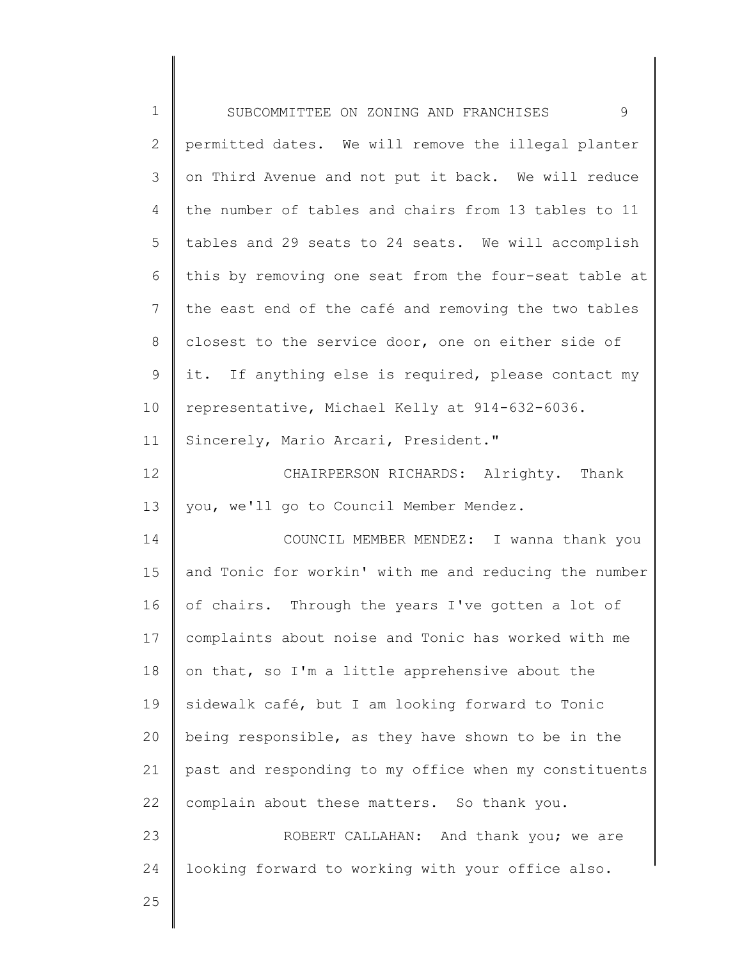| $\mathbf 1$     | 9<br>SUBCOMMITTEE ON ZONING AND FRANCHISES            |
|-----------------|-------------------------------------------------------|
| $\mathbf{2}$    | permitted dates. We will remove the illegal planter   |
| 3               | on Third Avenue and not put it back. We will reduce   |
| 4               | the number of tables and chairs from 13 tables to 11  |
| 5               | tables and 29 seats to 24 seats. We will accomplish   |
| 6               | this by removing one seat from the four-seat table at |
| $7\phantom{.0}$ | the east end of the café and removing the two tables  |
| 8               | closest to the service door, one on either side of    |
| $\mathsf 9$     | it. If anything else is required, please contact my   |
| 10              | representative, Michael Kelly at 914-632-6036.        |
| 11              | Sincerely, Mario Arcari, President."                  |
| 12              | CHAIRPERSON RICHARDS: Alrighty. Thank                 |
| 13              | you, we'll go to Council Member Mendez.               |
| 14              | COUNCIL MEMBER MENDEZ: I wanna thank you              |
| 15              | and Tonic for workin' with me and reducing the number |
| 16              | of chairs. Through the years I've gotten a lot of     |
| 17              | complaints about noise and Tonic has worked with me   |
| 18              | on that, so I'm a little apprehensive about the       |
| 19              | sidewalk café, but I am looking forward to Tonic      |
| 20              | being responsible, as they have shown to be in the    |
| 21              | past and responding to my office when my constituents |
| 22              | complain about these matters. So thank you.           |
| 23              | ROBERT CALLAHAN: And thank you; we are                |
| 24              | looking forward to working with your office also.     |
| 25              |                                                       |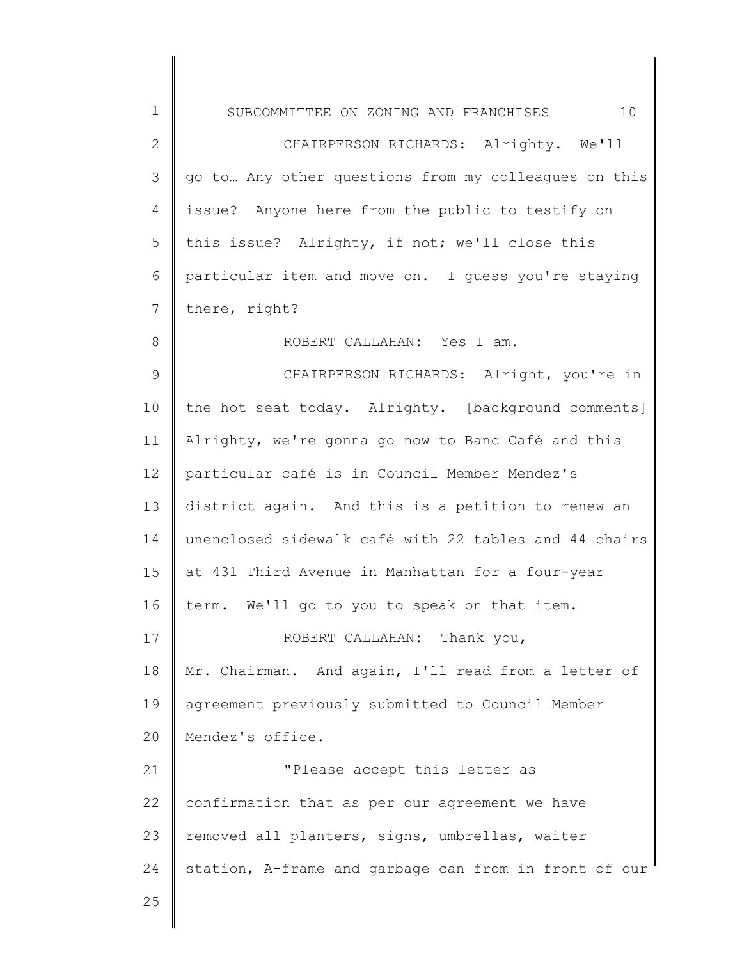| $\mathbf 1$    | 10<br>SUBCOMMITTEE ON ZONING AND FRANCHISES           |
|----------------|-------------------------------------------------------|
| $\mathbf{2}$   | CHAIRPERSON RICHARDS: Alrighty. We'll                 |
| 3              | go to Any other questions from my colleagues on this  |
| 4              | issue? Anyone here from the public to testify on      |
| 5              | this issue? Alrighty, if not; we'll close this        |
| 6              | particular item and move on. I guess you're staying   |
| $7\phantom{.}$ | there, right?                                         |
| 8              | ROBERT CALLAHAN: Yes I am.                            |
| 9              | CHAIRPERSON RICHARDS: Alright, you're in              |
| 10             | the hot seat today. Alrighty. [background comments]   |
| 11             | Alrighty, we're gonna go now to Banc Café and this    |
| 12             | particular café is in Council Member Mendez's         |
| 13             | district again. And this is a petition to renew an    |
| 14             | unenclosed sidewalk café with 22 tables and 44 chairs |
| 15             | at 431 Third Avenue in Manhattan for a four-year      |
| 16             | term. We'll go to you to speak on that item.          |
| 17             | Thank you,<br>ROBERT CALLAHAN:                        |
| 18             | Mr. Chairman. And again, I'll read from a letter of   |
| 19             | agreement previously submitted to Council Member      |
| 20             | Mendez's office.                                      |
| 21             | "Please accept this letter as                         |
| 22             | confirmation that as per our agreement we have        |
| 23             | removed all planters, signs, umbrellas, waiter        |
| 24             | station, A-frame and garbage can from in front of our |
| 25             |                                                       |
|                |                                                       |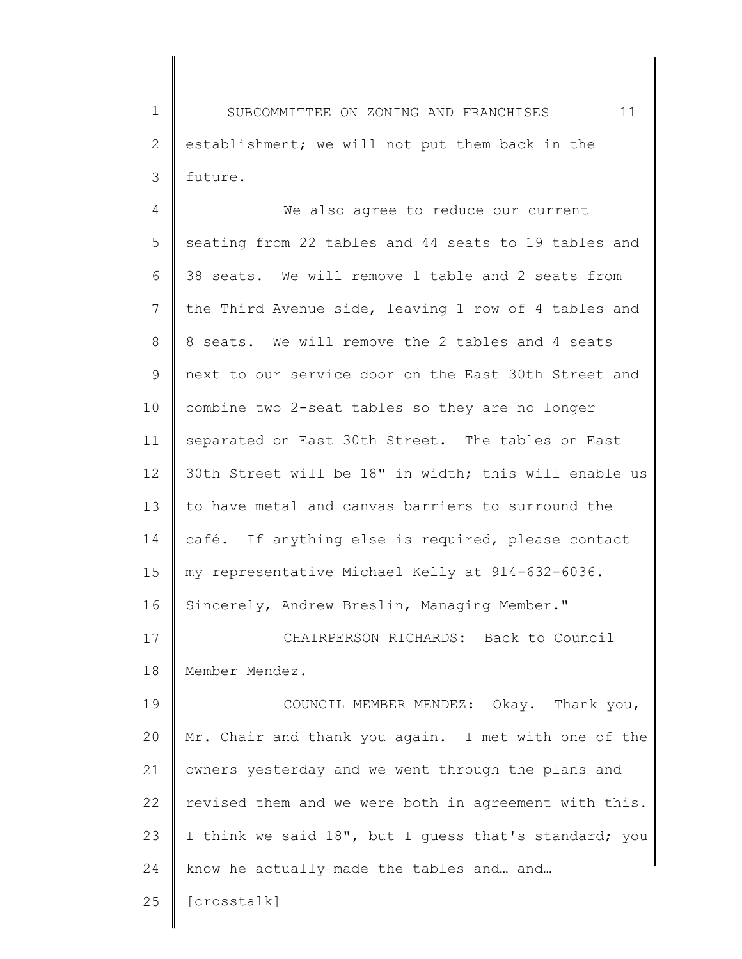1 2 3 SUBCOMMITTEE ON ZONING AND FRANCHISES 11 establishment; we will not put them back in the future.

4 5 6 7 8 9 10 11 12 13 14 15 16 17 18 We also agree to reduce our current seating from 22 tables and 44 seats to 19 tables and 38 seats. We will remove 1 table and 2 seats from the Third Avenue side, leaving 1 row of 4 tables and 8 seats. We will remove the 2 tables and 4 seats next to our service door on the East 30th Street and combine two 2-seat tables so they are no longer separated on East 30th Street. The tables on East 30th Street will be 18" in width; this will enable us to have metal and canvas barriers to surround the café. If anything else is required, please contact my representative Michael Kelly at 914-632-6036. Sincerely, Andrew Breslin, Managing Member." CHAIRPERSON RICHARDS: Back to Council Member Mendez.

19 20 21 22 23 24 COUNCIL MEMBER MENDEZ: Okay. Thank you, Mr. Chair and thank you again. I met with one of the owners yesterday and we went through the plans and revised them and we were both in agreement with this. I think we said 18", but I guess that's standard; you know he actually made the tables and… and…

25 [crosstalk]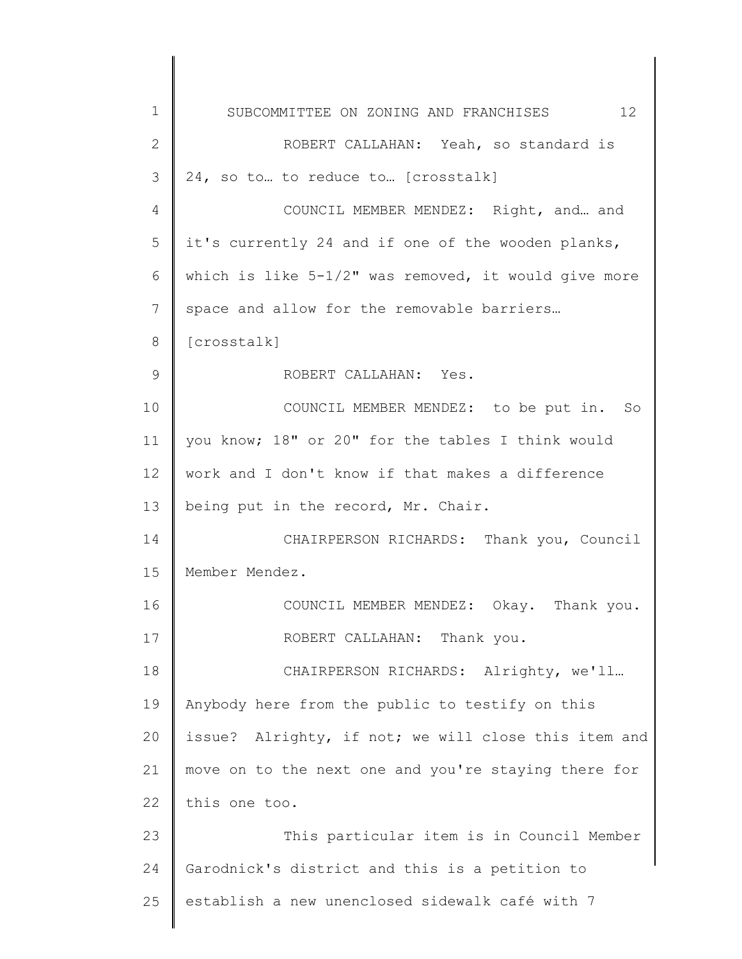| $\mathbf 1$     | 12<br>SUBCOMMITTEE ON ZONING AND FRANCHISES             |
|-----------------|---------------------------------------------------------|
| $\mathbf{2}$    | ROBERT CALLAHAN: Yeah, so standard is                   |
| 3               | 24, so to  to reduce to  [crosstalk]                    |
| 4               | COUNCIL MEMBER MENDEZ: Right, and  and                  |
| 5               | it's currently 24 and if one of the wooden planks,      |
| 6               | which is like $5-1/2$ " was removed, it would give more |
| 7               | space and allow for the removable barriers              |
| 8               | [crosstalk]                                             |
| $\mathsf 9$     | ROBERT CALLAHAN: Yes.                                   |
| 10              | COUNCIL MEMBER MENDEZ: to be put in. So                 |
| 11              | you know; 18" or 20" for the tables I think would       |
| 12 <sup>°</sup> | work and I don't know if that makes a difference        |
| 13              | being put in the record, Mr. Chair.                     |
| 14              | CHAIRPERSON RICHARDS: Thank you, Council                |
| 15              | Member Mendez.                                          |
| 16              | COUNCIL MEMBER MENDEZ: Okay. Thank you.                 |
| 17              | ROBERT CALLAHAN: Thank you.                             |
| 18              | CHAIRPERSON RICHARDS: Alrighty, we'll                   |
| 19              | Anybody here from the public to testify on this         |
| 20              | issue? Alrighty, if not; we will close this item and    |
| 21              | move on to the next one and you're staying there for    |
| 22              | this one too.                                           |
| 23              | This particular item is in Council Member               |
| 24              | Garodnick's district and this is a petition to          |
| 25              | establish a new unenclosed sidewalk café with 7         |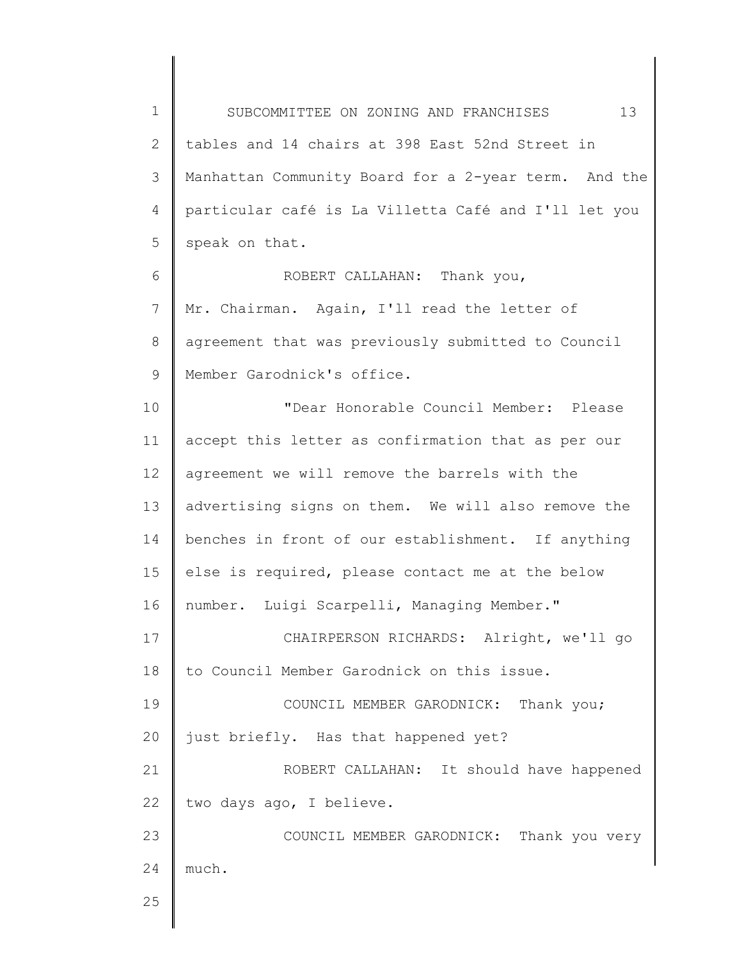1 2 3 4 5 6 7 8 9 10 11 12 13 14 15 16 17 18 19 20 21 22 23 24 SUBCOMMITTEE ON ZONING AND FRANCHISES 13 tables and 14 chairs at 398 East 52nd Street in Manhattan Community Board for a 2-year term. And the particular café is La Villetta Café and I'll let you speak on that. ROBERT CALLAHAN: Thank you, Mr. Chairman. Again, I'll read the letter of agreement that was previously submitted to Council Member Garodnick's office. "Dear Honorable Council Member: Please accept this letter as confirmation that as per our agreement we will remove the barrels with the advertising signs on them. We will also remove the benches in front of our establishment. If anything else is required, please contact me at the below number. Luigi Scarpelli, Managing Member." CHAIRPERSON RICHARDS: Alright, we'll go to Council Member Garodnick on this issue. COUNCIL MEMBER GARODNICK: Thank you; just briefly. Has that happened yet? ROBERT CALLAHAN: It should have happened two days ago, I believe. COUNCIL MEMBER GARODNICK: Thank you very much.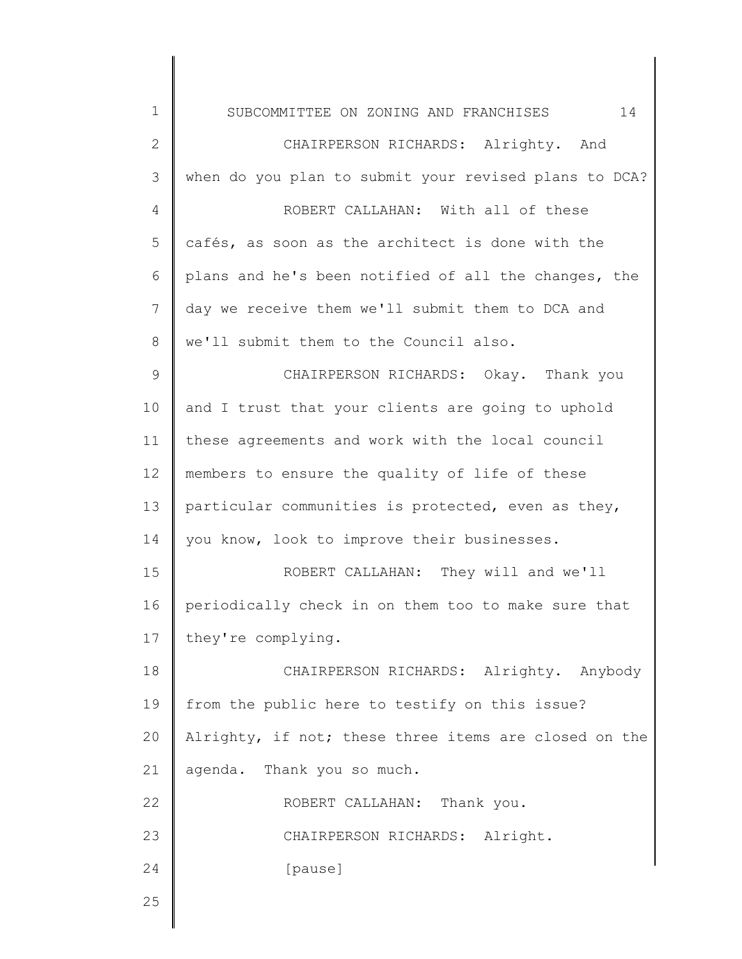| $\mathbf 1$     | 14<br>SUBCOMMITTEE ON ZONING AND FRANCHISES           |
|-----------------|-------------------------------------------------------|
| $\mathbf{2}$    | CHAIRPERSON RICHARDS: Alrighty. And                   |
| 3               | when do you plan to submit your revised plans to DCA? |
| 4               | ROBERT CALLAHAN: With all of these                    |
| 5               | cafés, as soon as the architect is done with the      |
| 6               | plans and he's been notified of all the changes, the  |
| $7\phantom{.0}$ | day we receive them we'll submit them to DCA and      |
| $8\,$           | we'll submit them to the Council also.                |
| $\mathcal{G}$   | CHAIRPERSON RICHARDS: Okay. Thank you                 |
| 10              | and I trust that your clients are going to uphold     |
| 11              | these agreements and work with the local council      |
| 12              | members to ensure the quality of life of these        |
| 13              | particular communities is protected, even as they,    |
| 14              | you know, look to improve their businesses.           |
| 15              | ROBERT CALLAHAN: They will and we'll                  |
| 16              | periodically check in on them too to make sure that   |
| 17              | they're complying.                                    |
| 18              | CHAIRPERSON RICHARDS: Alrighty. Anybody               |
| 19              | from the public here to testify on this issue?        |
| 20              | Alrighty, if not; these three items are closed on the |
| 21              | agenda. Thank you so much.                            |
| 22              | ROBERT CALLAHAN: Thank you.                           |
| 23              | CHAIRPERSON RICHARDS: Alright.                        |
| 24              | [pause]                                               |
| 25              |                                                       |
|                 |                                                       |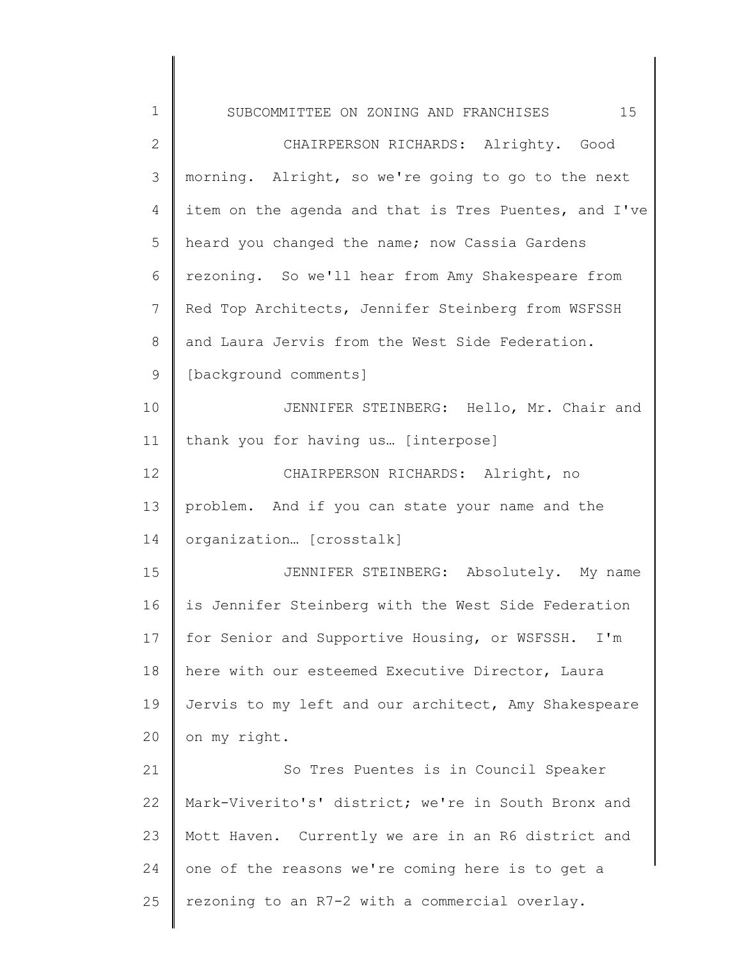| $\mathbf 1$  | 15<br>SUBCOMMITTEE ON ZONING AND FRANCHISES           |
|--------------|-------------------------------------------------------|
| $\mathbf{2}$ | CHAIRPERSON RICHARDS: Alrighty. Good                  |
| 3            | morning. Alright, so we're going to go to the next    |
| 4            | item on the agenda and that is Tres Puentes, and I've |
| 5            | heard you changed the name; now Cassia Gardens        |
| 6            | rezoning. So we'll hear from Amy Shakespeare from     |
| 7            | Red Top Architects, Jennifer Steinberg from WSFSSH    |
| 8            | and Laura Jervis from the West Side Federation.       |
| $\mathsf 9$  | [background comments]                                 |
| 10           | JENNIFER STEINBERG: Hello, Mr. Chair and              |
| 11           | thank you for having us [interpose]                   |
| 12           | CHAIRPERSON RICHARDS: Alright, no                     |
| 13           | problem. And if you can state your name and the       |
| 14           | organization [crosstalk]                              |
| 15           | JENNIFER STEINBERG: Absolutely. My name               |
| 16           | is Jennifer Steinberg with the West Side Federation   |
| 17           | for Senior and Supportive Housing, or WSFSSH. I'm     |
| 18           | here with our esteemed Executive Director, Laura      |
| 19           | Jervis to my left and our architect, Amy Shakespeare  |
| 20           | on my right.                                          |
| 21           | So Tres Puentes is in Council Speaker                 |
| 22           | Mark-Viverito's' district; we're in South Bronx and   |
| 23           | Mott Haven. Currently we are in an R6 district and    |
| 24           | one of the reasons we're coming here is to get a      |
| 25           | rezoning to an R7-2 with a commercial overlay.        |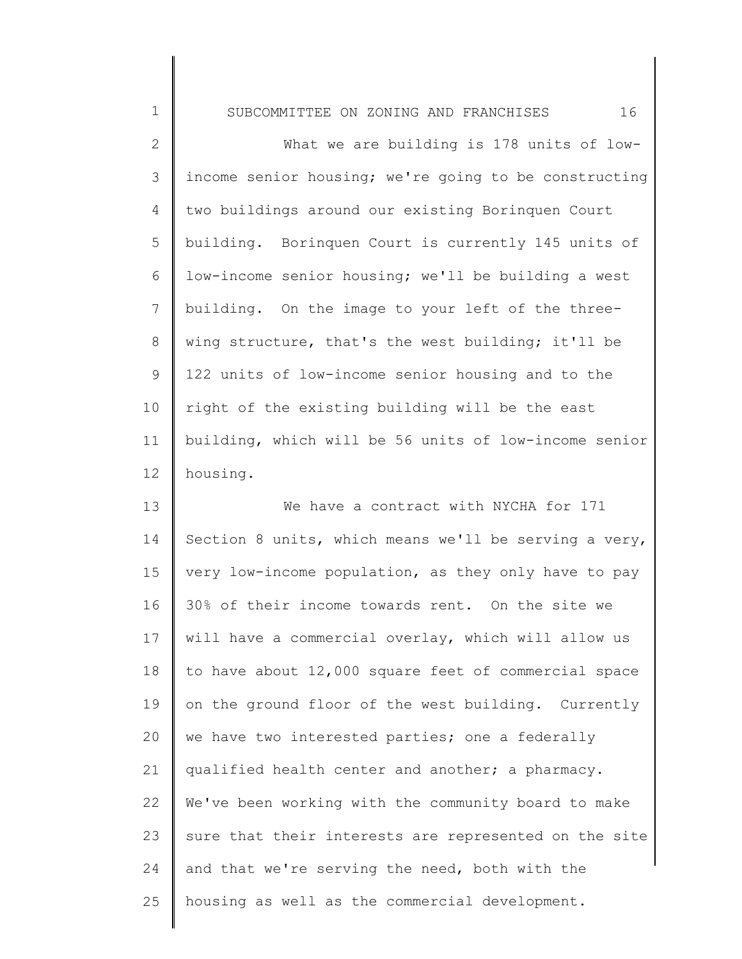1 2 3 4 5 6 7 8 9 10 11 12 13 14 SUBCOMMITTEE ON ZONING AND FRANCHISES 16 What we are building is 178 units of lowincome senior housing; we're going to be constructing two buildings around our existing Borinquen Court building. Borinquen Court is currently 145 units of low-income senior housing; we'll be building a west building. On the image to your left of the threewing structure, that's the west building; it'll be 122 units of low-income senior housing and to the right of the existing building will be the east building, which will be 56 units of low-income senior housing. We have a contract with NYCHA for 171 Section 8 units, which means we'll be serving a very, very low-income population, as they only have to pay

15 16 17 18 19 20 21 22 23 24 25 30% of their income towards rent. On the site we will have a commercial overlay, which will allow us to have about 12,000 square feet of commercial space on the ground floor of the west building. Currently we have two interested parties; one a federally qualified health center and another; a pharmacy. We've been working with the community board to make sure that their interests are represented on the site and that we're serving the need, both with the housing as well as the commercial development.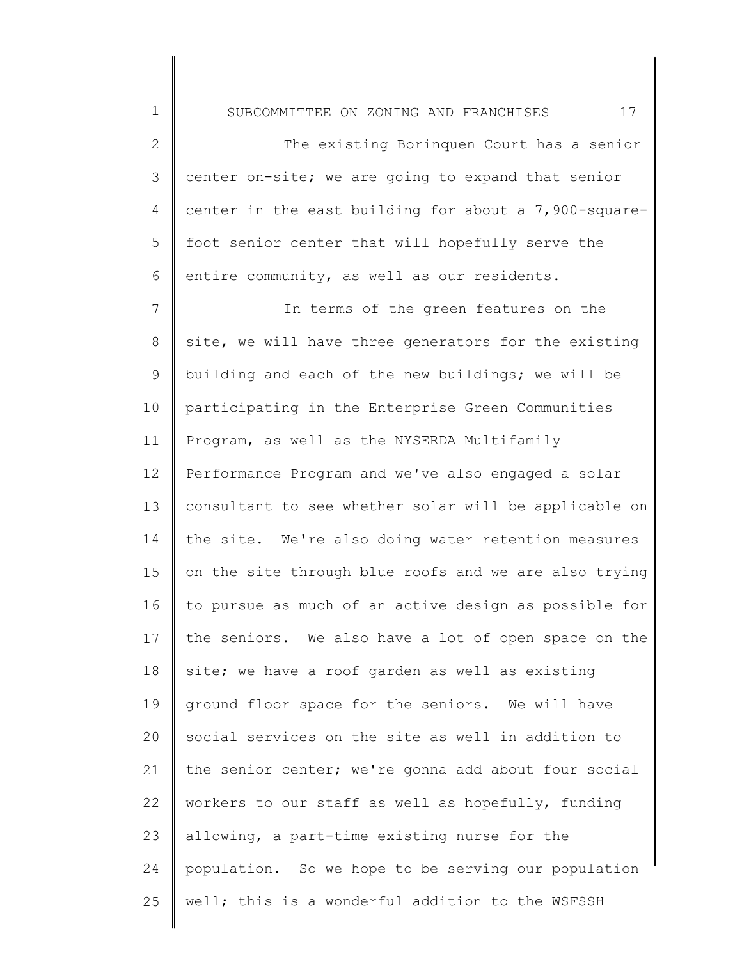1 2 3 4 5 6 7 8 9 10 11 12 13 14 15 SUBCOMMITTEE ON ZONING AND FRANCHISES 17 The existing Borinquen Court has a senior center on-site; we are going to expand that senior center in the east building for about a 7,900-squarefoot senior center that will hopefully serve the entire community, as well as our residents. In terms of the green features on the site, we will have three generators for the existing building and each of the new buildings; we will be participating in the Enterprise Green Communities Program, as well as the NYSERDA Multifamily Performance Program and we've also engaged a solar consultant to see whether solar will be applicable on the site. We're also doing water retention measures on the site through blue roofs and we are also trying

16 17 18 19 20 21 22 23 24 25 to pursue as much of an active design as possible for the seniors. We also have a lot of open space on the site; we have a roof garden as well as existing ground floor space for the seniors. We will have social services on the site as well in addition to the senior center; we're gonna add about four social workers to our staff as well as hopefully, funding allowing, a part-time existing nurse for the population. So we hope to be serving our population well; this is a wonderful addition to the WSFSSH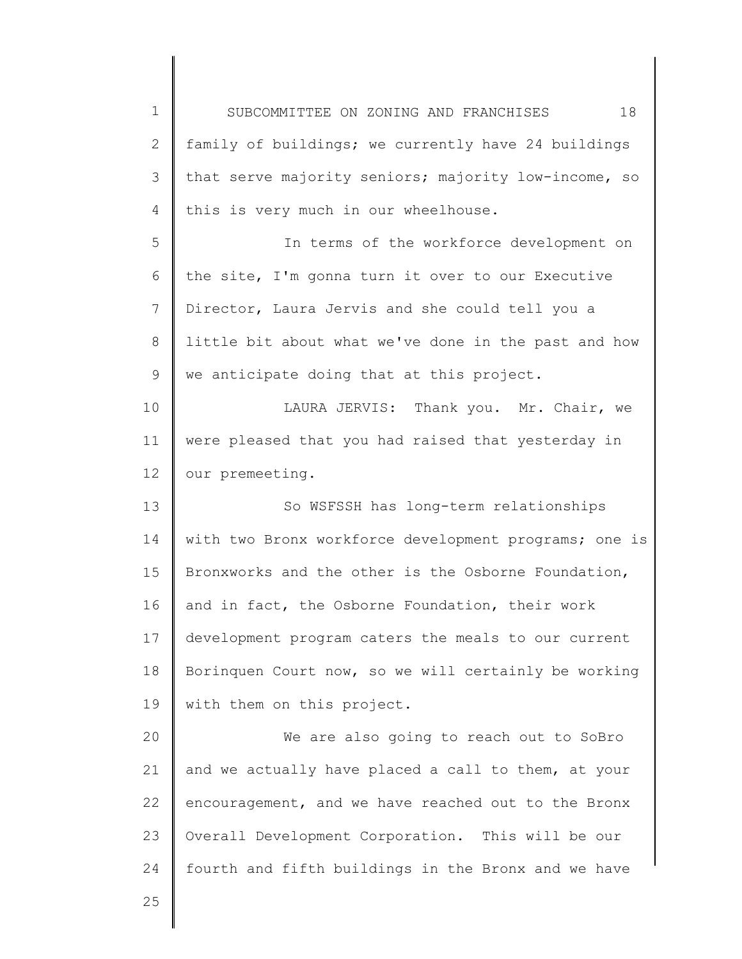1 2 3 4 5 6 7 8 9 10 11 12 13 14 15 16 17 18 19 20 21 22 23 24 25 SUBCOMMITTEE ON ZONING AND FRANCHISES 18 family of buildings; we currently have 24 buildings that serve majority seniors; majority low-income, so this is very much in our wheelhouse. In terms of the workforce development on the site, I'm gonna turn it over to our Executive Director, Laura Jervis and she could tell you a little bit about what we've done in the past and how we anticipate doing that at this project. LAURA JERVIS: Thank you. Mr. Chair, we were pleased that you had raised that yesterday in our premeeting. So WSFSSH has long-term relationships with two Bronx workforce development programs; one is Bronxworks and the other is the Osborne Foundation, and in fact, the Osborne Foundation, their work development program caters the meals to our current Borinquen Court now, so we will certainly be working with them on this project. We are also going to reach out to SoBro and we actually have placed a call to them, at your encouragement, and we have reached out to the Bronx Overall Development Corporation. This will be our fourth and fifth buildings in the Bronx and we have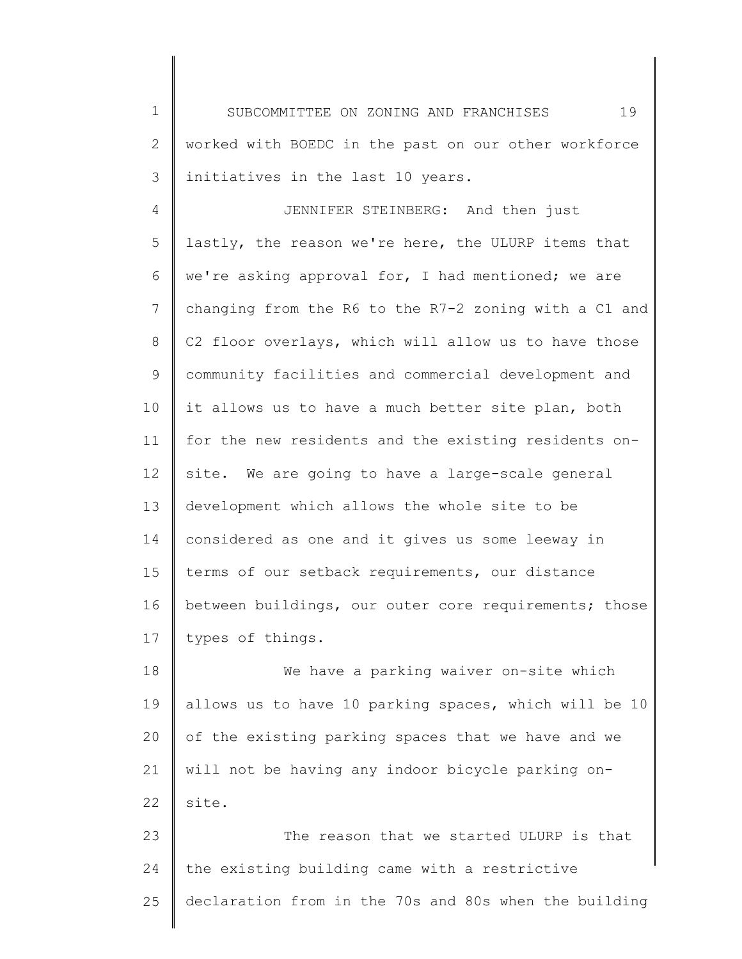1 2 3 SUBCOMMITTEE ON ZONING AND FRANCHISES 19 worked with BOEDC in the past on our other workforce initiatives in the last 10 years.

4 5 6 7 8 9 10 11 12 13 14 15 16 17 JENNIFER STEINBERG: And then just lastly, the reason we're here, the ULURP items that we're asking approval for, I had mentioned; we are changing from the R6 to the R7-2 zoning with a C1 and C2 floor overlays, which will allow us to have those community facilities and commercial development and it allows us to have a much better site plan, both for the new residents and the existing residents onsite. We are going to have a large-scale general development which allows the whole site to be considered as one and it gives us some leeway in terms of our setback requirements, our distance between buildings, our outer core requirements; those types of things.

18 19 20 21 22 We have a parking waiver on-site which allows us to have 10 parking spaces, which will be 10 of the existing parking spaces that we have and we will not be having any indoor bicycle parking onsite.

23 24 25 The reason that we started ULURP is that the existing building came with a restrictive declaration from in the 70s and 80s when the building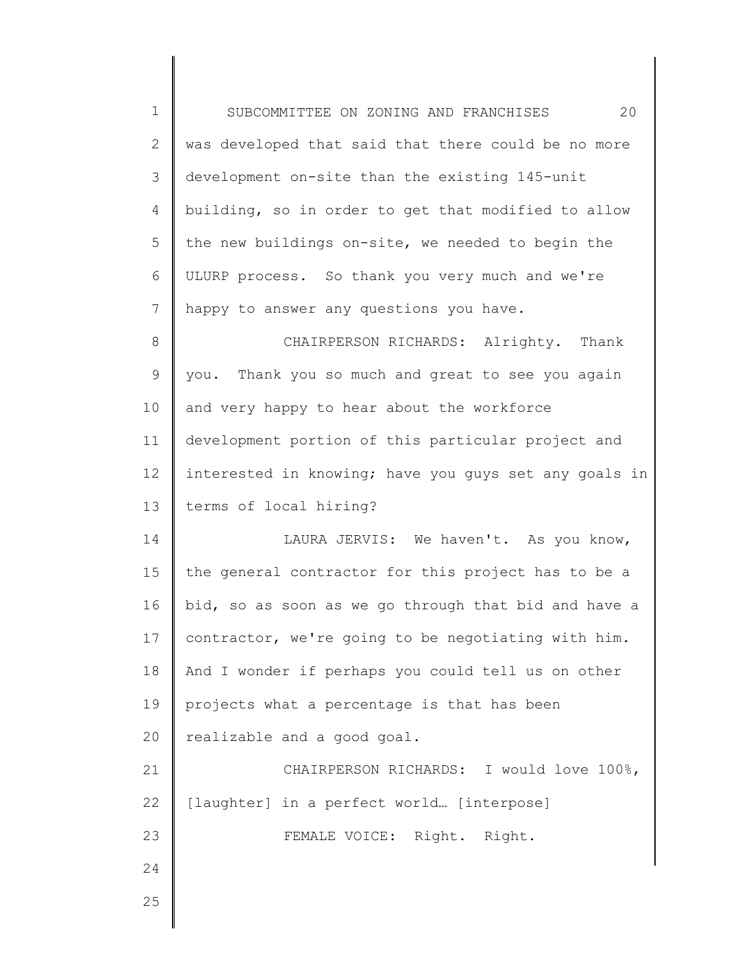| $1\,$          | 20<br>SUBCOMMITTEE ON ZONING AND FRANCHISES           |
|----------------|-------------------------------------------------------|
| $\mathbf{2}$   | was developed that said that there could be no more   |
| 3              | development on-site than the existing 145-unit        |
| $\overline{4}$ | building, so in order to get that modified to allow   |
| 5              | the new buildings on-site, we needed to begin the     |
| 6              | ULURP process. So thank you very much and we're       |
| 7              | happy to answer any questions you have.               |
| 8              | CHAIRPERSON RICHARDS: Alrighty. Thank                 |
| $\mathsf 9$    | you. Thank you so much and great to see you again     |
| 10             | and very happy to hear about the workforce            |
| 11             | development portion of this particular project and    |
| 12             | interested in knowing; have you guys set any goals in |
| 13             | terms of local hiring?                                |
| 14             | LAURA JERVIS: We haven't. As you know,                |
| 15             | the general contractor for this project has to be a   |
| 16             | bid, so as soon as we go through that bid and have a  |
| 17             | contractor, we're going to be negotiating with him.   |
| 18             | And I wonder if perhaps you could tell us on other    |
| 19             | projects what a percentage is that has been           |
| 20             | realizable and a good goal.                           |
| 21             | CHAIRPERSON RICHARDS: I would love 100%,              |
| 22             | [laughter] in a perfect world [interpose]             |
| 23             | FEMALE VOICE: Right. Right.                           |
| 24             |                                                       |
| 25             |                                                       |
|                |                                                       |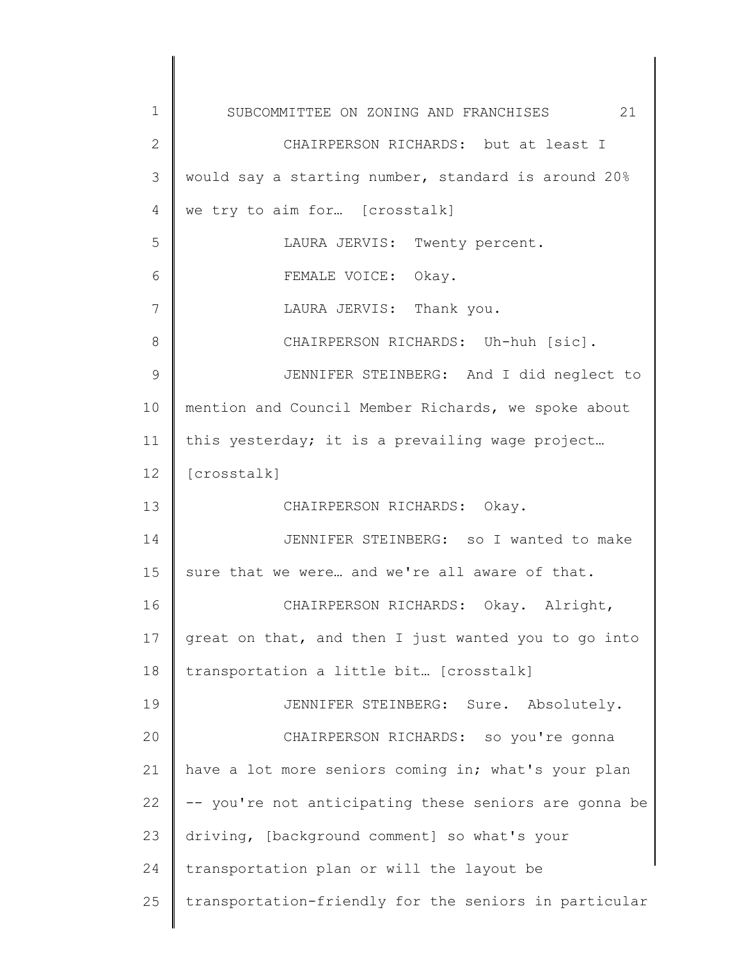| 1  | 21<br>SUBCOMMITTEE ON ZONING AND FRANCHISES           |
|----|-------------------------------------------------------|
| 2  | CHAIRPERSON RICHARDS: but at least I                  |
| 3  | would say a starting number, standard is around 20%   |
| 4  | we try to aim for [crosstalk]                         |
| 5  | LAURA JERVIS: Twenty percent.                         |
| 6  | FEMALE VOICE: Okay.                                   |
| 7  | LAURA JERVIS: Thank you.                              |
| 8  | CHAIRPERSON RICHARDS: Uh-huh [sic].                   |
| 9  | JENNIFER STEINBERG: And I did neglect to              |
| 10 | mention and Council Member Richards, we spoke about   |
| 11 | this yesterday; it is a prevailing wage project       |
| 12 | [crosstalk]                                           |
| 13 | CHAIRPERSON RICHARDS: Okay.                           |
| 14 | JENNIFER STEINBERG: so I wanted to make               |
| 15 | sure that we were and we're all aware of that.        |
| 16 | CHAIRPERSON RICHARDS: Okay. Alright,                  |
| 17 | great on that, and then I just wanted you to go into  |
| 18 | transportation a little bit [crosstalk]               |
| 19 | JENNIFER STEINBERG: Sure. Absolutely.                 |
| 20 | CHAIRPERSON RICHARDS: so you're gonna                 |
| 21 | have a lot more seniors coming in; what's your plan   |
| 22 | -- you're not anticipating these seniors are gonna be |
| 23 | driving, [background comment] so what's your          |
| 24 | transportation plan or will the layout be             |
| 25 | transportation-friendly for the seniors in particular |
|    |                                                       |

 $\begin{array}{c} \hline \end{array}$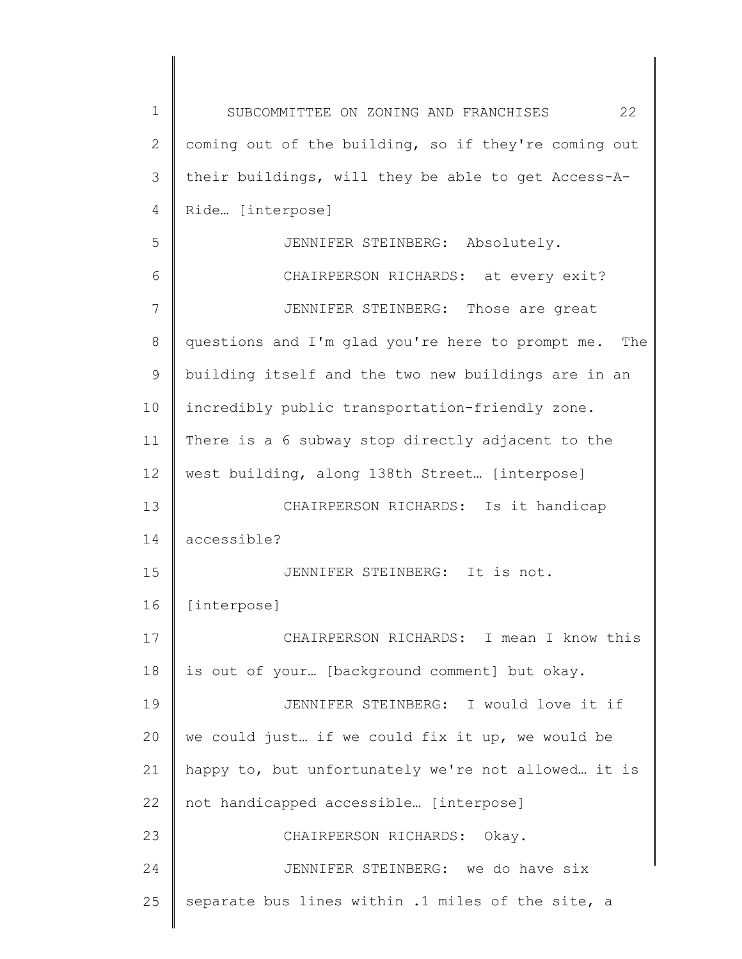| $\mathbf 1$ | 22<br>SUBCOMMITTEE ON ZONING AND FRANCHISES             |
|-------------|---------------------------------------------------------|
| 2           | coming out of the building, so if they're coming out    |
| 3           | their buildings, will they be able to get Access-A-     |
| 4           | Ride [interpose]                                        |
| 5           | JENNIFER STEINBERG: Absolutely.                         |
| 6           | CHAIRPERSON RICHARDS: at every exit?                    |
| 7           | JENNIFER STEINBERG: Those are great                     |
| 8           | questions and I'm glad you're here to prompt me.<br>The |
| 9           | building itself and the two new buildings are in an     |
| 10          | incredibly public transportation-friendly zone.         |
| 11          | There is a 6 subway stop directly adjacent to the       |
| 12          | west building, along 138th Street [interpose]           |
| 13          | CHAIRPERSON RICHARDS: Is it handicap                    |
| 14          | accessible?                                             |
| 15          | JENNIFER STEINBERG: It is not.                          |
| 16          | [interpose]                                             |
| 17          | CHAIRPERSON RICHARDS: I mean I know this                |
| 18          | is out of your [background comment] but okay.           |
| 19          | JENNIFER STEINBERG: I would love it if                  |
| 20          | we could just if we could fix it up, we would be        |
| 21          | happy to, but unfortunately we're not allowed it is     |
| 22          | not handicapped accessible [interpose]                  |
| 23          | CHAIRPERSON RICHARDS:<br>Okay.                          |
| 24          | JENNIFER STEINBERG: we do have six                      |
| 25          | separate bus lines within .1 miles of the site, a       |
|             |                                                         |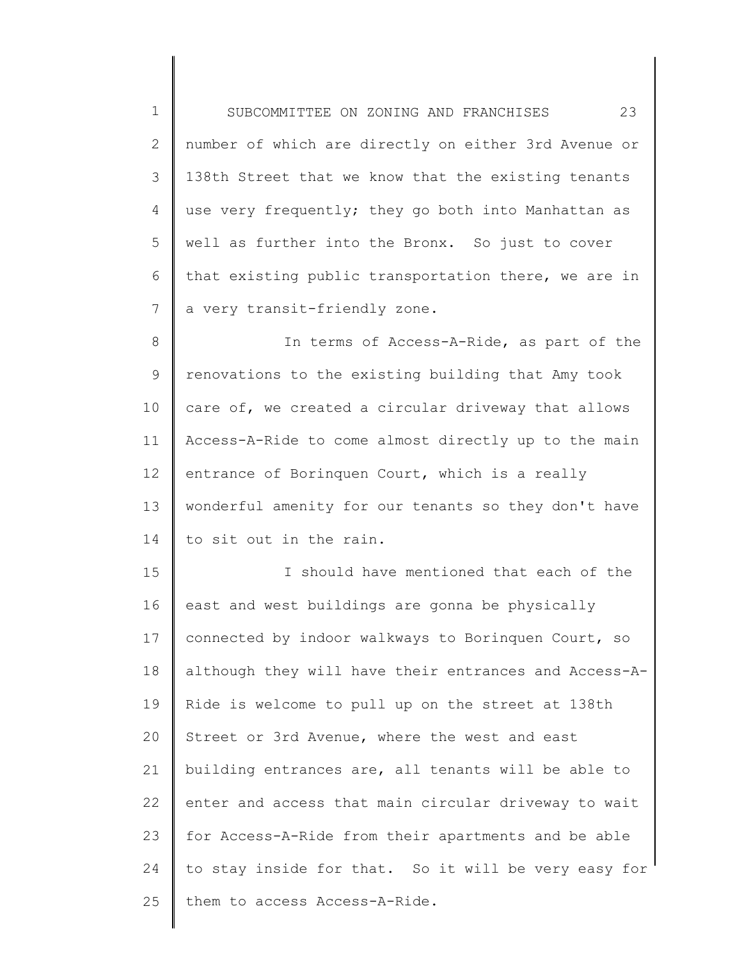| $\mathbf 1$    | 23<br>SUBCOMMITTEE ON ZONING AND FRANCHISES           |
|----------------|-------------------------------------------------------|
| $\overline{2}$ | number of which are directly on either 3rd Avenue or  |
| 3              | 138th Street that we know that the existing tenants   |
| 4              | use very frequently; they go both into Manhattan as   |
| 5              | well as further into the Bronx. So just to cover      |
| 6              | that existing public transportation there, we are in  |
| 7              | a very transit-friendly zone.                         |
| 8              | In terms of Access-A-Ride, as part of the             |
| 9              | renovations to the existing building that Amy took    |
| 10             | care of, we created a circular driveway that allows   |
| 11             | Access-A-Ride to come almost directly up to the main  |
| 12             | entrance of Borinquen Court, which is a really        |
| 13             | wonderful amenity for our tenants so they don't have  |
| 14             | to sit out in the rain.                               |
| 15             | I should have mentioned that each of the              |
| 16             | east and west buildings are gonna be physically       |
| 17             | connected by indoor walkways to Borinquen Court, so   |
| 18             | although they will have their entrances and Access-A- |
| 19             | Ride is welcome to pull up on the street at 138th     |
| 20             | Street or 3rd Avenue, where the west and east         |
| 21             | building entrances are, all tenants will be able to   |
| 22             | enter and access that main circular driveway to wait  |
| 23             | for Access-A-Ride from their apartments and be able   |
| 24             | to stay inside for that. So it will be very easy for  |
| 25             | them to access Access-A-Ride.                         |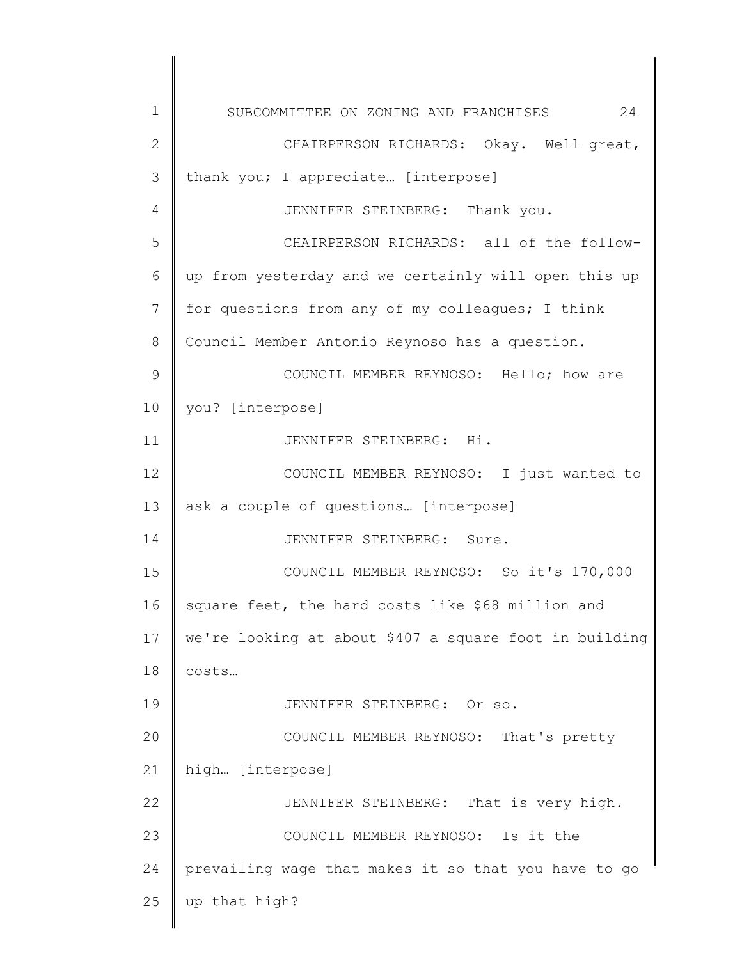| 1  | 24<br>SUBCOMMITTEE ON ZONING AND FRANCHISES            |
|----|--------------------------------------------------------|
| 2  | CHAIRPERSON RICHARDS: Okay. Well great,                |
| 3  | thank you; I appreciate [interpose]                    |
| 4  | JENNIFER STEINBERG: Thank you.                         |
| 5  | CHAIRPERSON RICHARDS: all of the follow-               |
| 6  | up from yesterday and we certainly will open this up   |
| 7  | for questions from any of my colleagues; I think       |
| 8  | Council Member Antonio Reynoso has a question.         |
| 9  | COUNCIL MEMBER REYNOSO: Hello; how are                 |
| 10 | you? [interpose]                                       |
| 11 | JENNIFER STEINBERG: Hi.                                |
| 12 | COUNCIL MEMBER REYNOSO: I just wanted to               |
| 13 | ask a couple of questions [interpose]                  |
| 14 | JENNIFER STEINBERG: Sure.                              |
| 15 | COUNCIL MEMBER REYNOSO: So it's 170,000                |
| 16 | square feet, the hard costs like \$68 million and      |
| 17 | we're looking at about \$407 a square foot in building |
| 18 | costs                                                  |
| 19 | JENNIFER STEINBERG: Or so.                             |
| 20 | COUNCIL MEMBER REYNOSO: That's pretty                  |
| 21 | high [interpose]                                       |
| 22 | JENNIFER STEINBERG: That is very high.                 |
| 23 | COUNCIL MEMBER REYNOSO: Is it the                      |
| 24 | prevailing wage that makes it so that you have to go   |
| 25 | up that high?                                          |
|    |                                                        |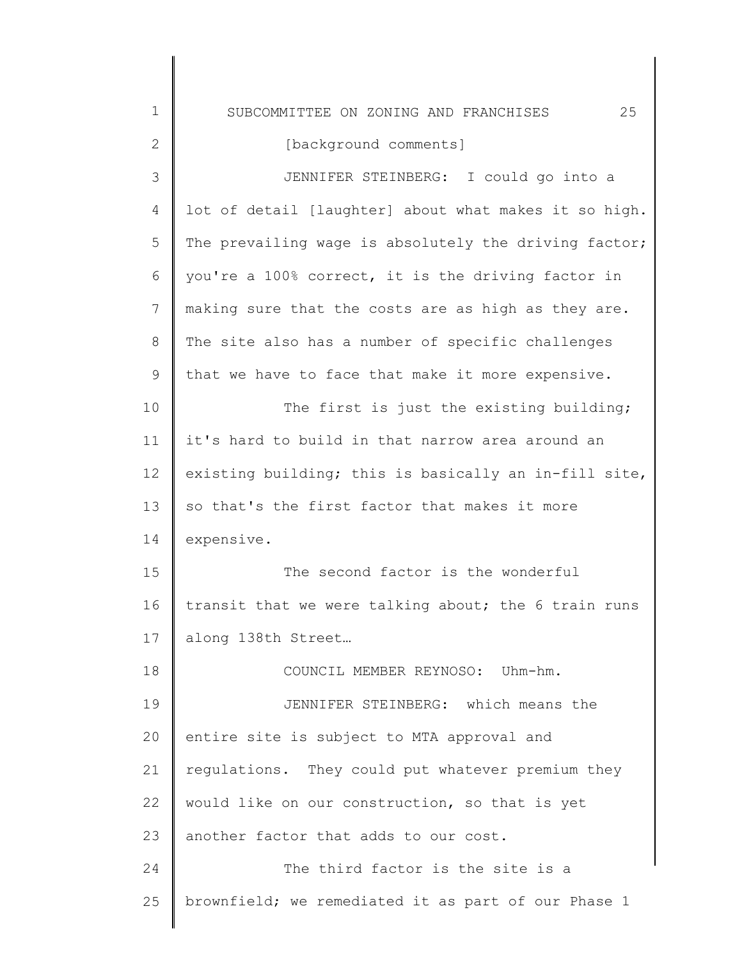1 2 3 4 5 6 7 8 9 10 11 12 13 14 15 16 17 18 19 20 21 22 23 24 SUBCOMMITTEE ON ZONING AND FRANCHISES 25 [background comments] JENNIFER STEINBERG: I could go into a lot of detail [laughter] about what makes it so high. The prevailing wage is absolutely the driving factor; you're a 100% correct, it is the driving factor in making sure that the costs are as high as they are. The site also has a number of specific challenges that we have to face that make it more expensive. The first is just the existing building; it's hard to build in that narrow area around an existing building; this is basically an in-fill site, so that's the first factor that makes it more expensive. The second factor is the wonderful transit that we were talking about; the 6 train runs along 138th Street… COUNCIL MEMBER REYNOSO: Uhm-hm. JENNIFER STEINBERG: which means the entire site is subject to MTA approval and regulations. They could put whatever premium they would like on our construction, so that is yet another factor that adds to our cost. The third factor is the site is a

brownfield; we remediated it as part of our Phase 1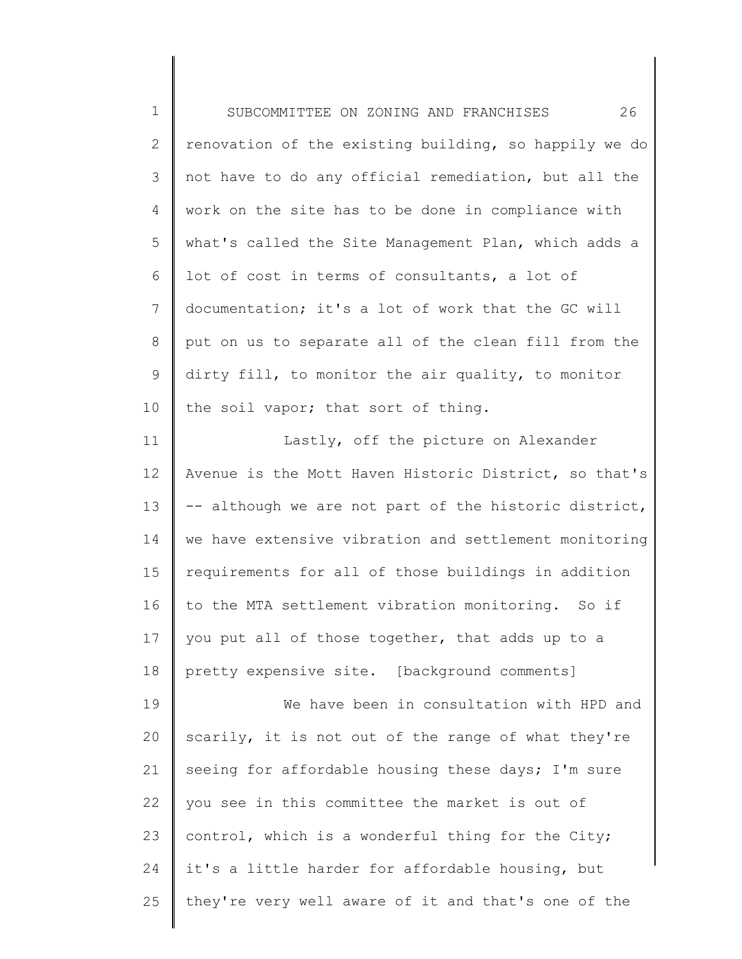1 2 3 4 5 6 7 8 9 10 11 12 13 14 15 16 17 SUBCOMMITTEE ON ZONING AND FRANCHISES 26 renovation of the existing building, so happily we do not have to do any official remediation, but all the work on the site has to be done in compliance with what's called the Site Management Plan, which adds a lot of cost in terms of consultants, a lot of documentation; it's a lot of work that the GC will put on us to separate all of the clean fill from the dirty fill, to monitor the air quality, to monitor the soil vapor; that sort of thing. Lastly, off the picture on Alexander Avenue is the Mott Haven Historic District, so that's -- although we are not part of the historic district, we have extensive vibration and settlement monitoring requirements for all of those buildings in addition to the MTA settlement vibration monitoring. So if you put all of those together, that adds up to a

18 pretty expensive site. [background comments]

19 20 21 22 23 24 25 We have been in consultation with HPD and scarily, it is not out of the range of what they're seeing for affordable housing these days; I'm sure you see in this committee the market is out of control, which is a wonderful thing for the City; it's a little harder for affordable housing, but they're very well aware of it and that's one of the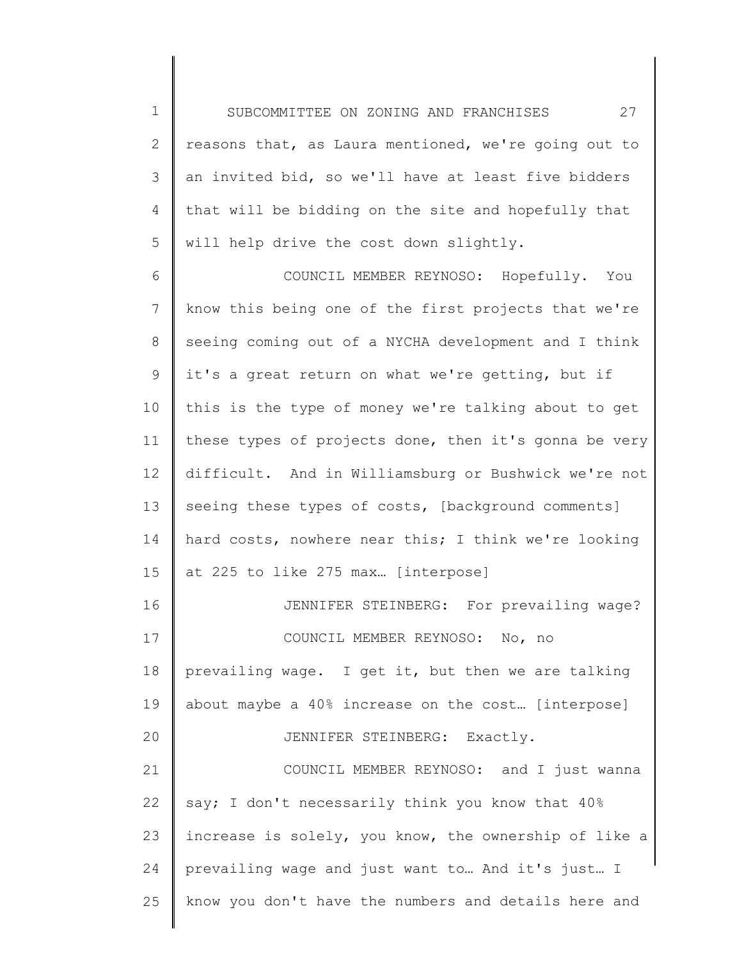1 2 3 4 5 SUBCOMMITTEE ON ZONING AND FRANCHISES 27 reasons that, as Laura mentioned, we're going out to an invited bid, so we'll have at least five bidders that will be bidding on the site and hopefully that will help drive the cost down slightly.

6 7 8 9 10 11 12 13 14 15 16 17 18 19 20 21 22 COUNCIL MEMBER REYNOSO: Hopefully. You know this being one of the first projects that we're seeing coming out of a NYCHA development and I think it's a great return on what we're getting, but if this is the type of money we're talking about to get these types of projects done, then it's gonna be very difficult. And in Williamsburg or Bushwick we're not seeing these types of costs, [background comments] hard costs, nowhere near this; I think we're looking at 225 to like 275 max… [interpose] JENNIFER STEINBERG: For prevailing wage? COUNCIL MEMBER REYNOSO: No, no prevailing wage. I get it, but then we are talking about maybe a 40% increase on the cost… [interpose] JENNIFER STEINBERG: Exactly. COUNCIL MEMBER REYNOSO: and I just wanna say; I don't necessarily think you know that 40%

23 24 25 increase is solely, you know, the ownership of like a prevailing wage and just want to… And it's just… I know you don't have the numbers and details here and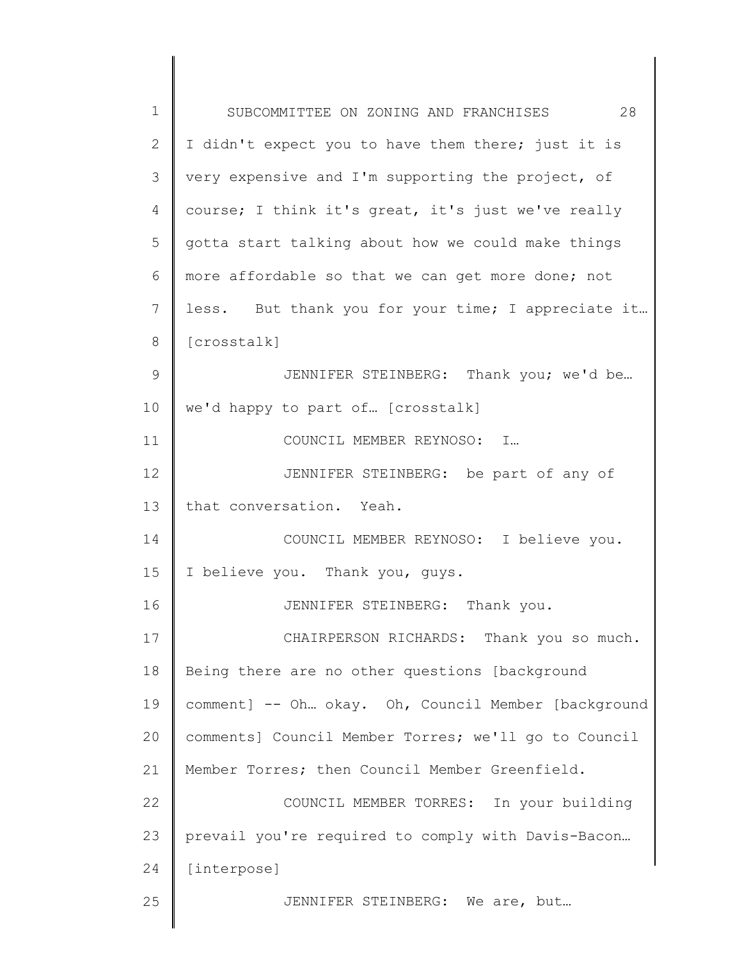| 1  | 28<br>SUBCOMMITTEE ON ZONING AND FRANCHISES          |
|----|------------------------------------------------------|
| 2  | I didn't expect you to have them there; just it is   |
| 3  | very expensive and I'm supporting the project, of    |
| 4  | course; I think it's great, it's just we've really   |
| 5  | gotta start talking about how we could make things   |
| 6  | more affordable so that we can get more done; not    |
| 7  | less. But thank you for your time; I appreciate it   |
| 8  | [crosstalk]                                          |
| 9  | JENNIFER STEINBERG: Thank you; we'd be               |
| 10 | we'd happy to part of [crosstalk]                    |
| 11 | COUNCIL MEMBER REYNOSO: I                            |
| 12 | JENNIFER STEINBERG: be part of any of                |
| 13 | that conversation. Yeah.                             |
| 14 | COUNCIL MEMBER REYNOSO: I believe you.               |
| 15 | I believe you. Thank you, guys.                      |
| 16 | JENNIFER STEINBERG: Thank you.                       |
| 17 | CHAIRPERSON RICHARDS: Thank you so much.             |
| 18 | Being there are no other questions [background       |
| 19 | comment] -- Oh okay. Oh, Council Member [background  |
| 20 | comments] Council Member Torres; we'll go to Council |
| 21 | Member Torres; then Council Member Greenfield.       |
| 22 | COUNCIL MEMBER TORRES: In your building              |
| 23 | prevail you're required to comply with Davis-Bacon   |
| 24 | [interpose]                                          |
| 25 | JENNIFER STEINBERG: We are, but                      |
|    |                                                      |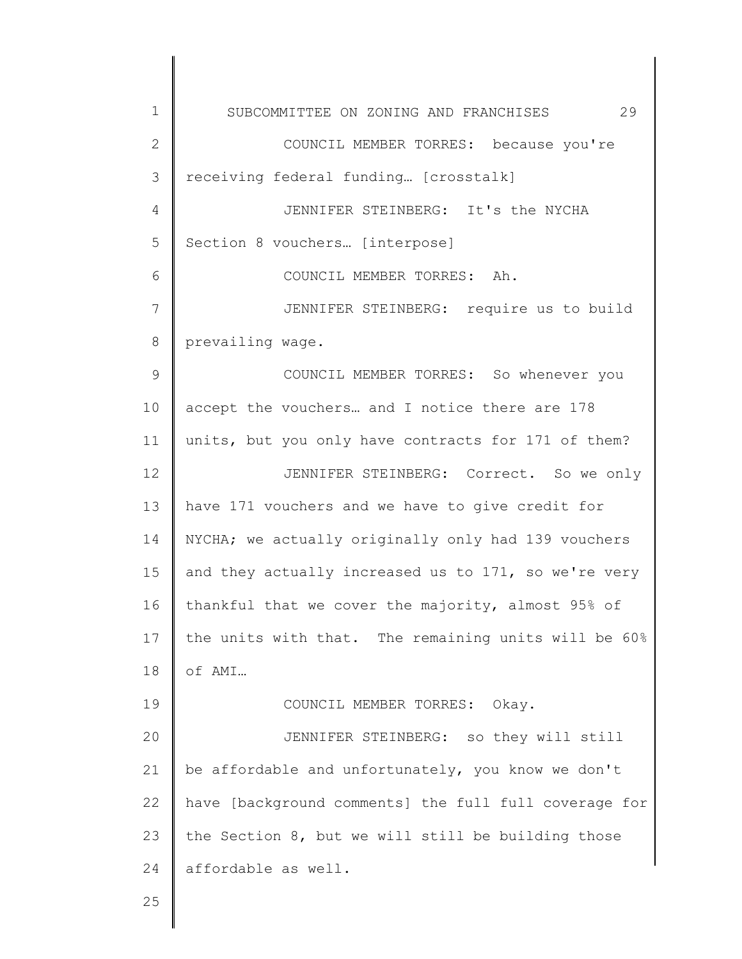| $\mathbf 1$    | 29<br>SUBCOMMITTEE ON ZONING AND FRANCHISES           |
|----------------|-------------------------------------------------------|
| $\mathbf{2}$   | COUNCIL MEMBER TORRES: because you're                 |
| 3              | receiving federal funding [crosstalk]                 |
| $\overline{4}$ | JENNIFER STEINBERG: It's the NYCHA                    |
| 5              | Section 8 vouchers [interpose]                        |
| 6              | COUNCIL MEMBER TORRES: Ah.                            |
| 7              | JENNIFER STEINBERG: require us to build               |
| 8              | prevailing wage.                                      |
| $\mathcal{G}$  | COUNCIL MEMBER TORRES: So whenever you                |
| 10             | accept the vouchers and I notice there are 178        |
| 11             | units, but you only have contracts for 171 of them?   |
| 12             | JENNIFER STEINBERG: Correct. So we only               |
| 13             | have 171 vouchers and we have to give credit for      |
| 14             | NYCHA; we actually originally only had 139 vouchers   |
| 15             | and they actually increased us to 171, so we're very  |
| 16             | thankful that we cover the majority, almost 95% of    |
| 17             | the units with that. The remaining units will be 60%  |
| 18             | of AMI                                                |
| 19             | COUNCIL MEMBER TORRES:<br>Okay.                       |
| 20             | JENNIFER STEINBERG: so they will still                |
| 21             | be affordable and unfortunately, you know we don't    |
| 22             | have [background comments] the full full coverage for |
| 23             | the Section 8, but we will still be building those    |
| 24             | affordable as well.                                   |
| 25             |                                                       |
|                |                                                       |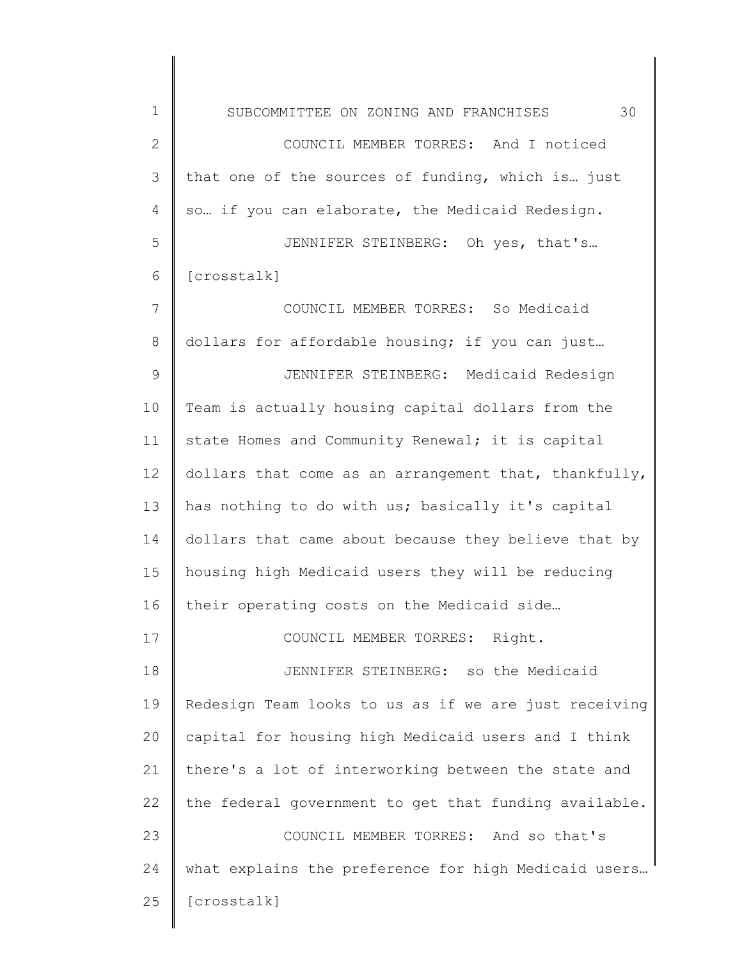1 2 3 4 5 6 7 8 9 10 11 12 13 14 15 16 17 18 19 20 21 22 23 SUBCOMMITTEE ON ZONING AND FRANCHISES 30 COUNCIL MEMBER TORRES: And I noticed that one of the sources of funding, which is… just so… if you can elaborate, the Medicaid Redesign. JENNIFER STEINBERG: Oh yes, that's… [crosstalk] COUNCIL MEMBER TORRES: So Medicaid dollars for affordable housing; if you can just… JENNIFER STEINBERG: Medicaid Redesign Team is actually housing capital dollars from the state Homes and Community Renewal; it is capital dollars that come as an arrangement that, thankfully, has nothing to do with us; basically it's capital dollars that came about because they believe that by housing high Medicaid users they will be reducing their operating costs on the Medicaid side… COUNCIL MEMBER TORRES: Right. JENNIFER STEINBERG: so the Medicaid Redesign Team looks to us as if we are just receiving capital for housing high Medicaid users and I think there's a lot of interworking between the state and the federal government to get that funding available. COUNCIL MEMBER TORRES: And so that's

24 25 what explains the preference for high Medicaid users… [crosstalk]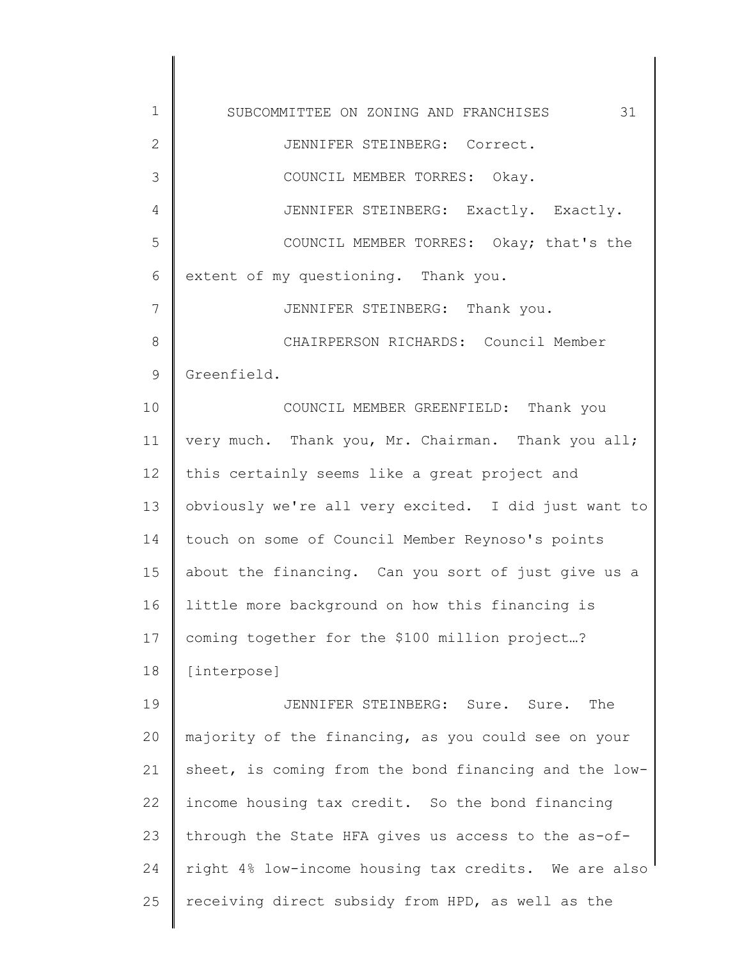1 2 3 4 5 6 7 8 9 10 11 12 13 14 15 16 17 18 19 20 21 22 23 24 25 SUBCOMMITTEE ON ZONING AND FRANCHISES 31 JENNIFER STEINBERG: Correct. COUNCIL MEMBER TORRES: Okay. JENNIFER STEINBERG: Exactly. Exactly. COUNCIL MEMBER TORRES: Okay; that's the extent of my questioning. Thank you. JENNIFER STEINBERG: Thank you. CHAIRPERSON RICHARDS: Council Member Greenfield. COUNCIL MEMBER GREENFIELD: Thank you very much. Thank you, Mr. Chairman. Thank you all; this certainly seems like a great project and obviously we're all very excited. I did just want to touch on some of Council Member Reynoso's points about the financing. Can you sort of just give us a little more background on how this financing is coming together for the \$100 million project…? [interpose] JENNIFER STEINBERG: Sure. Sure. The majority of the financing, as you could see on your sheet, is coming from the bond financing and the lowincome housing tax credit. So the bond financing through the State HFA gives us access to the as-ofright 4% low-income housing tax credits. We are also receiving direct subsidy from HPD, as well as the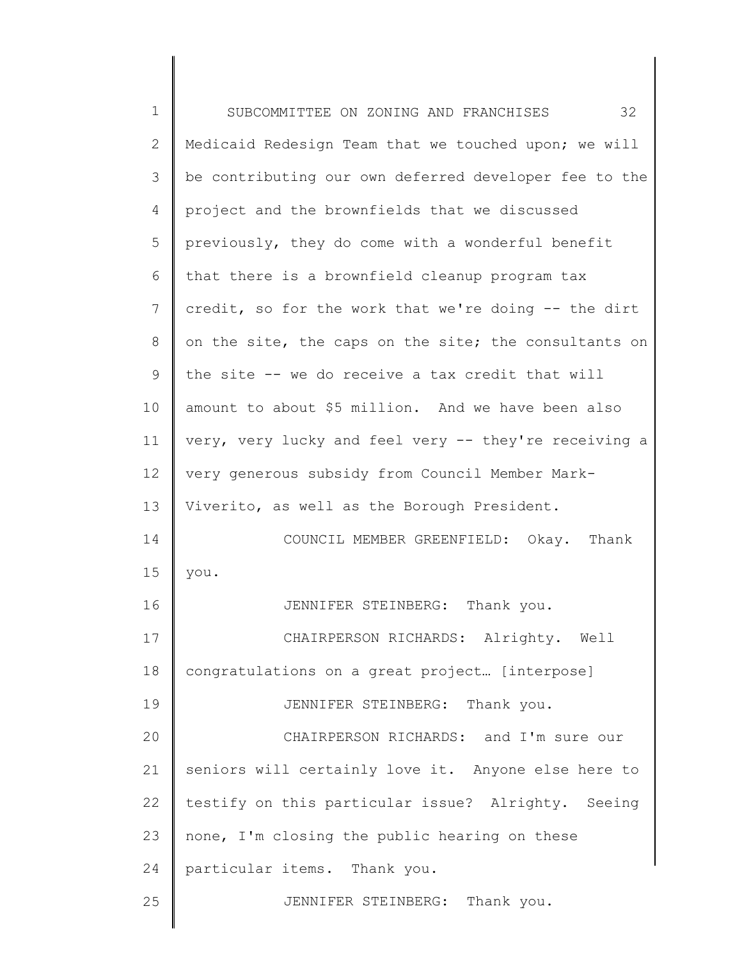| $\mathbf 1$  | 32<br>SUBCOMMITTEE ON ZONING AND FRANCHISES           |
|--------------|-------------------------------------------------------|
| $\mathbf{2}$ | Medicaid Redesign Team that we touched upon; we will  |
| 3            | be contributing our own deferred developer fee to the |
| 4            | project and the brownfields that we discussed         |
| 5            | previously, they do come with a wonderful benefit     |
| 6            | that there is a brownfield cleanup program tax        |
| 7            | credit, so for the work that we're doing -- the dirt  |
| 8            | on the site, the caps on the site; the consultants on |
| 9            | the site -- we do receive a tax credit that will      |
| 10           | amount to about \$5 million. And we have been also    |
| 11           | very, very lucky and feel very -- they're receiving a |
| 12           | very generous subsidy from Council Member Mark-       |
| 13           | Viverito, as well as the Borough President.           |
| 14           | COUNCIL MEMBER GREENFIELD: Okay. Thank                |
| 15           | you.                                                  |
| 16           | JENNIFER STEINBERG: Thank you.                        |
| 17           | CHAIRPERSON RICHARDS: Alrighty. Well                  |
| 18           | congratulations on a great project [interpose]        |
| 19           | JENNIFER STEINBERG: Thank you.                        |
| 20           | CHAIRPERSON RICHARDS: and I'm sure our                |
| 21           | seniors will certainly love it. Anyone else here to   |
| 22           | testify on this particular issue? Alrighty. Seeing    |
| 23           | none, I'm closing the public hearing on these         |
| 24           | particular items. Thank you.                          |
| 25           | JENNIFER STEINBERG: Thank you.                        |
|              |                                                       |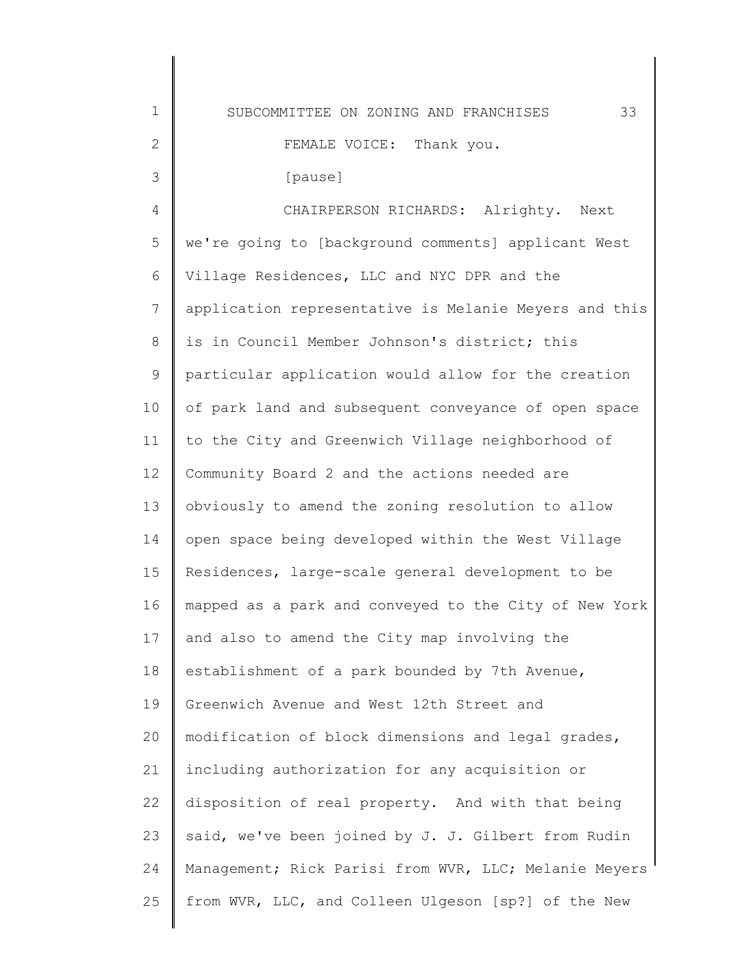| SUBCOMMITTEE ON ZONING AND FRANCHISES | 33 |
|---------------------------------------|----|
| FEMALE VOICE: Thank you.              |    |
| [pause]                               |    |
| CHAIRPERSON RICHARDS: Alrighty. Next  |    |

1

2

3

4 5 6 7 8 9 10 11 12 13 14 15 16 17 18 19 20 21 22 23 24 25 we're going to [background comments] applicant West Village Residences, LLC and NYC DPR and the application representative is Melanie Meyers and this is in Council Member Johnson's district; this particular application would allow for the creation of park land and subsequent conveyance of open space to the City and Greenwich Village neighborhood of Community Board 2 and the actions needed are obviously to amend the zoning resolution to allow open space being developed within the West Village Residences, large-scale general development to be mapped as a park and conveyed to the City of New York and also to amend the City map involving the establishment of a park bounded by 7th Avenue, Greenwich Avenue and West 12th Street and modification of block dimensions and legal grades, including authorization for any acquisition or disposition of real property. And with that being said, we've been joined by J. J. Gilbert from Rudin Management; Rick Parisi from WVR, LLC; Melanie Meyers from WVR, LLC, and Colleen Ulgeson [sp?] of the New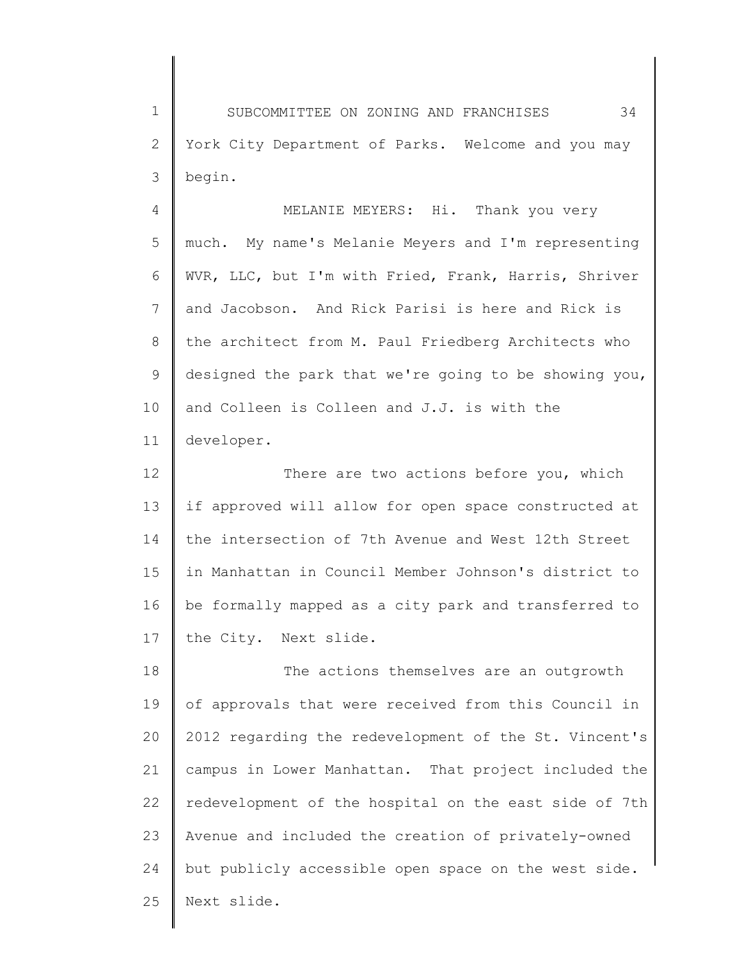1 2 3 SUBCOMMITTEE ON ZONING AND FRANCHISES 34 York City Department of Parks. Welcome and you may begin.

4 5 6 7 8 9 10 11 MELANIE MEYERS: Hi. Thank you very much. My name's Melanie Meyers and I'm representing WVR, LLC, but I'm with Fried, Frank, Harris, Shriver and Jacobson. And Rick Parisi is here and Rick is the architect from M. Paul Friedberg Architects who designed the park that we're going to be showing you, and Colleen is Colleen and J.J. is with the developer.

12 13 14 15 16 17 There are two actions before you, which if approved will allow for open space constructed at the intersection of 7th Avenue and West 12th Street in Manhattan in Council Member Johnson's district to be formally mapped as a city park and transferred to the City. Next slide.

18 19 20 21 22 23 24 25 The actions themselves are an outgrowth of approvals that were received from this Council in 2012 regarding the redevelopment of the St. Vincent's campus in Lower Manhattan. That project included the redevelopment of the hospital on the east side of 7th Avenue and included the creation of privately-owned but publicly accessible open space on the west side. Next slide.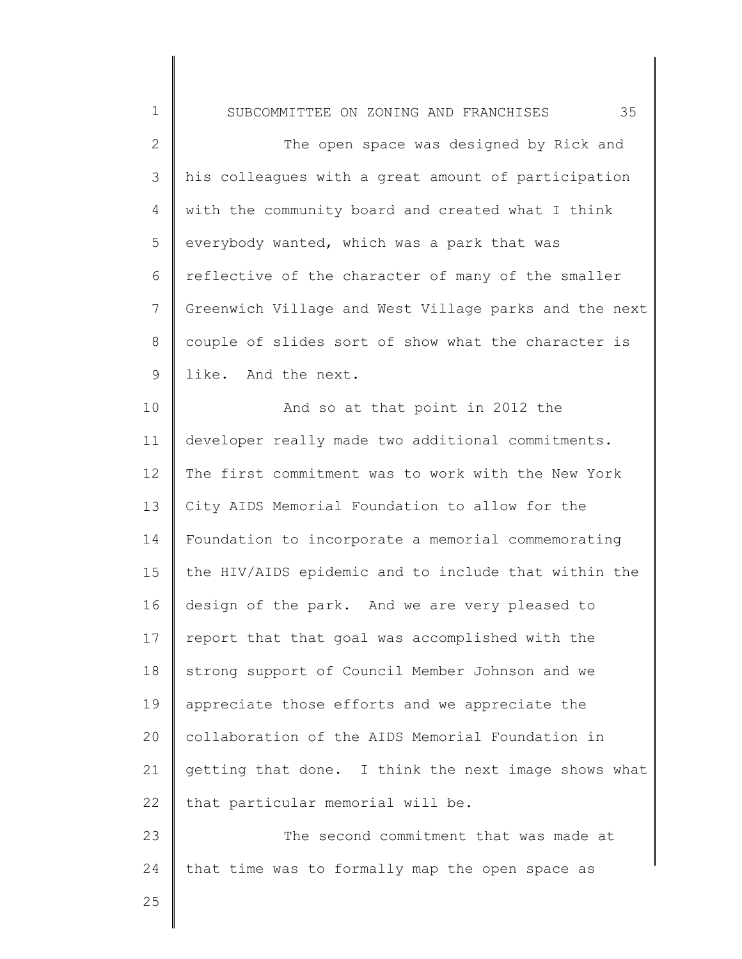1 2 3 4 5 6 7 8 9 10 11 12 13 14 15 16 17 18 19 20 21 22 23 SUBCOMMITTEE ON ZONING AND FRANCHISES 35 The open space was designed by Rick and his colleagues with a great amount of participation with the community board and created what I think everybody wanted, which was a park that was reflective of the character of many of the smaller Greenwich Village and West Village parks and the next couple of slides sort of show what the character is like. And the next. And so at that point in 2012 the developer really made two additional commitments. The first commitment was to work with the New York City AIDS Memorial Foundation to allow for the Foundation to incorporate a memorial commemorating the HIV/AIDS epidemic and to include that within the design of the park. And we are very pleased to report that that goal was accomplished with the strong support of Council Member Johnson and we appreciate those efforts and we appreciate the collaboration of the AIDS Memorial Foundation in getting that done. I think the next image shows what that particular memorial will be. The second commitment that was made at

24 that time was to formally map the open space as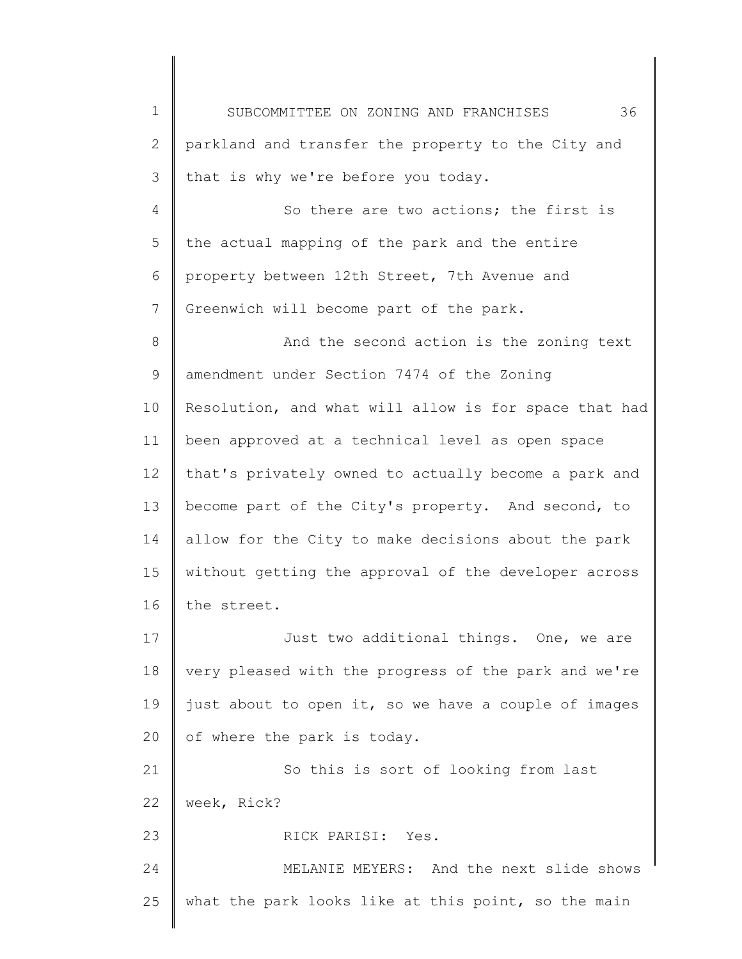1 2 3 4 5 6 7 8 9 10 11 12 13 14 15 16 17 18 19 20 21 22 23 24 25 SUBCOMMITTEE ON ZONING AND FRANCHISES 36 parkland and transfer the property to the City and that is why we're before you today. So there are two actions; the first is the actual mapping of the park and the entire property between 12th Street, 7th Avenue and Greenwich will become part of the park. And the second action is the zoning text amendment under Section 7474 of the Zoning Resolution, and what will allow is for space that had been approved at a technical level as open space that's privately owned to actually become a park and become part of the City's property. And second, to allow for the City to make decisions about the park without getting the approval of the developer across the street. Just two additional things. One, we are very pleased with the progress of the park and we're just about to open it, so we have a couple of images of where the park is today. So this is sort of looking from last week, Rick? RICK PARISI: Yes. MELANIE MEYERS: And the next slide shows what the park looks like at this point, so the main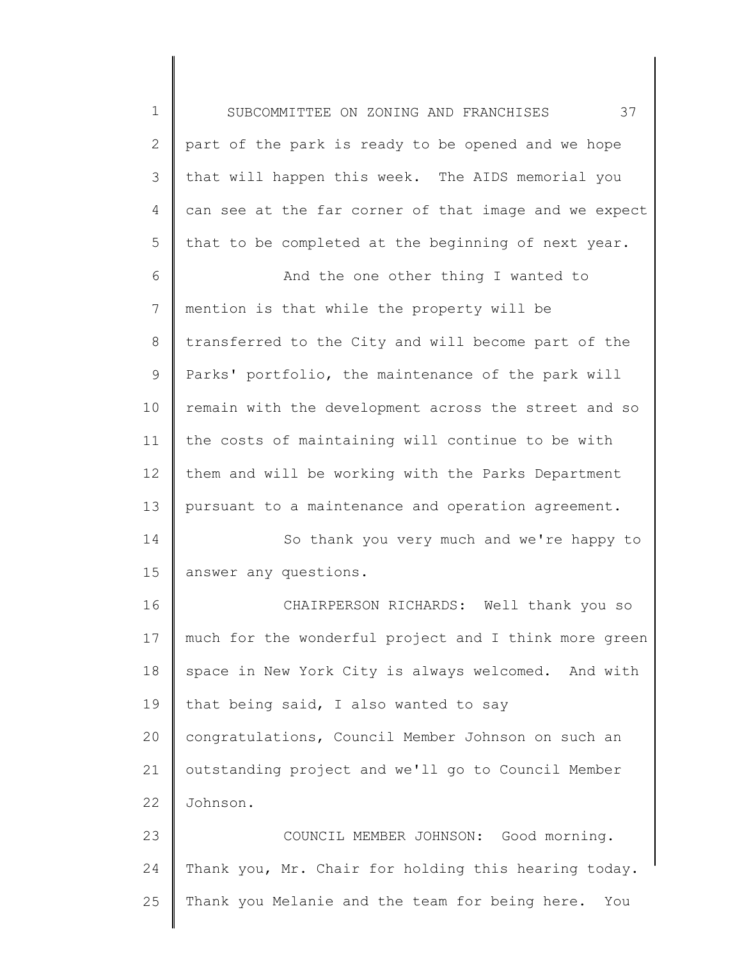1 2 3 4 5 SUBCOMMITTEE ON ZONING AND FRANCHISES 37 part of the park is ready to be opened and we hope that will happen this week. The AIDS memorial you can see at the far corner of that image and we expect that to be completed at the beginning of next year.

6 7 8 9 10 11 12 13 And the one other thing I wanted to mention is that while the property will be transferred to the City and will become part of the Parks' portfolio, the maintenance of the park will remain with the development across the street and so the costs of maintaining will continue to be with them and will be working with the Parks Department pursuant to a maintenance and operation agreement.

14 15 So thank you very much and we're happy to answer any questions.

16 17 18 19 20 21 22 CHAIRPERSON RICHARDS: Well thank you so much for the wonderful project and I think more green space in New York City is always welcomed. And with that being said, I also wanted to say congratulations, Council Member Johnson on such an outstanding project and we'll go to Council Member Johnson.

23 24 25 COUNCIL MEMBER JOHNSON: Good morning. Thank you, Mr. Chair for holding this hearing today. Thank you Melanie and the team for being here. You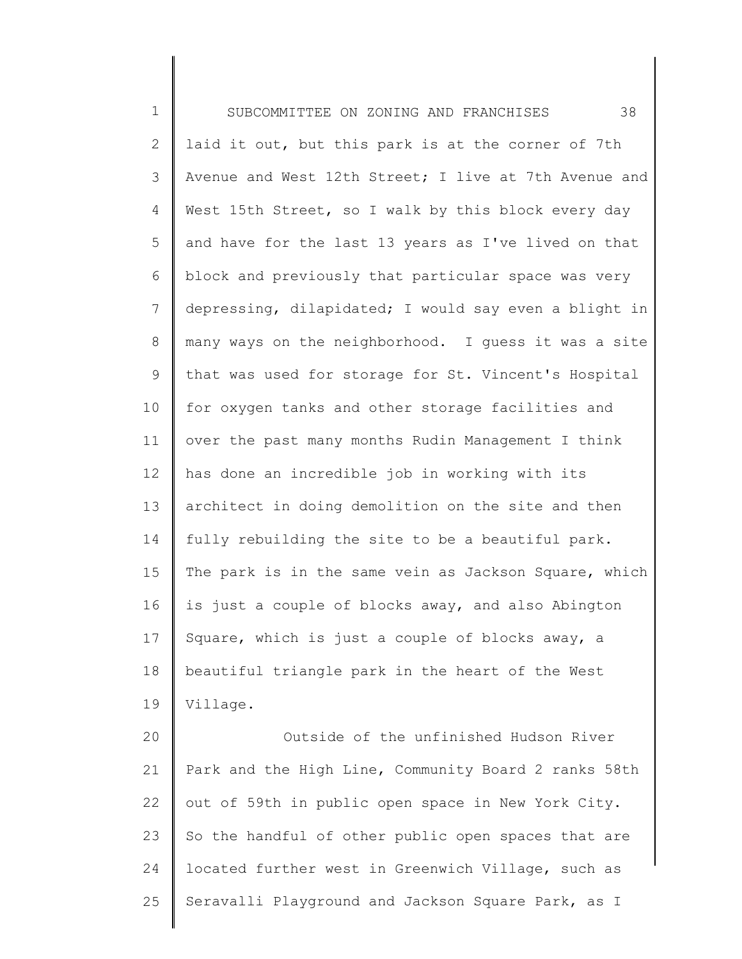1 2 3 4 5 6 7 8 9 10 11 12 13 14 15 16 17 18 19 20 21 22 23 SUBCOMMITTEE ON ZONING AND FRANCHISES 38 laid it out, but this park is at the corner of 7th Avenue and West 12th Street; I live at 7th Avenue and West 15th Street, so I walk by this block every day and have for the last 13 years as I've lived on that block and previously that particular space was very depressing, dilapidated; I would say even a blight in many ways on the neighborhood. I guess it was a site that was used for storage for St. Vincent's Hospital for oxygen tanks and other storage facilities and over the past many months Rudin Management I think has done an incredible job in working with its architect in doing demolition on the site and then fully rebuilding the site to be a beautiful park. The park is in the same vein as Jackson Square, which is just a couple of blocks away, and also Abington Square, which is just a couple of blocks away, a beautiful triangle park in the heart of the West Village. Outside of the unfinished Hudson River Park and the High Line, Community Board 2 ranks 58th out of 59th in public open space in New York City. So the handful of other public open spaces that are located further west in Greenwich Village, such as

Seravalli Playground and Jackson Square Park, as I

24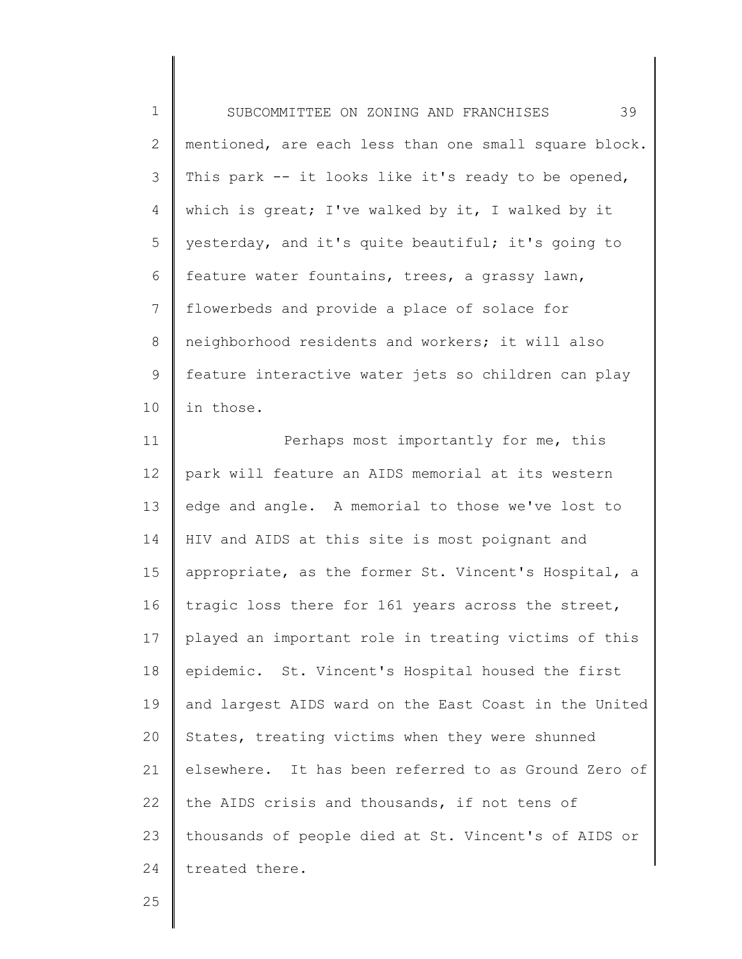1 2 3 4 5 6 7 8 9 10 SUBCOMMITTEE ON ZONING AND FRANCHISES 39 mentioned, are each less than one small square block. This park -- it looks like it's ready to be opened, which is great; I've walked by it, I walked by it yesterday, and it's quite beautiful; it's going to feature water fountains, trees, a grassy lawn, flowerbeds and provide a place of solace for neighborhood residents and workers; it will also feature interactive water jets so children can play in those.

11 12 13 14 15 16 17 18 19 20 21 22 23 24 Perhaps most importantly for me, this park will feature an AIDS memorial at its western edge and angle. A memorial to those we've lost to HIV and AIDS at this site is most poignant and appropriate, as the former St. Vincent's Hospital, a tragic loss there for 161 years across the street, played an important role in treating victims of this epidemic. St. Vincent's Hospital housed the first and largest AIDS ward on the East Coast in the United States, treating victims when they were shunned elsewhere. It has been referred to as Ground Zero of the AIDS crisis and thousands, if not tens of thousands of people died at St. Vincent's of AIDS or treated there.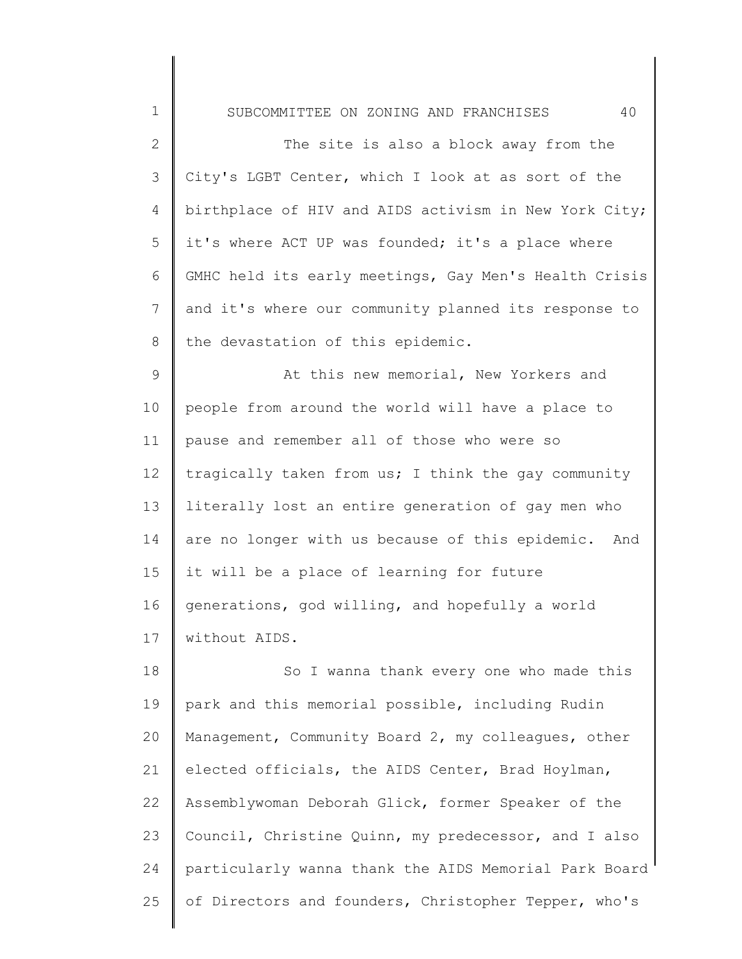1 2 3 4 5 6 7 8 9 10 11 12 13 14 15 16 17 18 SUBCOMMITTEE ON ZONING AND FRANCHISES 40 The site is also a block away from the City's LGBT Center, which I look at as sort of the birthplace of HIV and AIDS activism in New York City; it's where ACT UP was founded; it's a place where GMHC held its early meetings, Gay Men's Health Crisis and it's where our community planned its response to the devastation of this epidemic. At this new memorial, New Yorkers and people from around the world will have a place to pause and remember all of those who were so tragically taken from us; I think the gay community literally lost an entire generation of gay men who are no longer with us because of this epidemic. And it will be a place of learning for future generations, god willing, and hopefully a world without AIDS. So I wanna thank every one who made this

19 20 21 22 23 24 25 park and this memorial possible, including Rudin Management, Community Board 2, my colleagues, other elected officials, the AIDS Center, Brad Hoylman, Assemblywoman Deborah Glick, former Speaker of the Council, Christine Quinn, my predecessor, and I also particularly wanna thank the AIDS Memorial Park Board of Directors and founders, Christopher Tepper, who's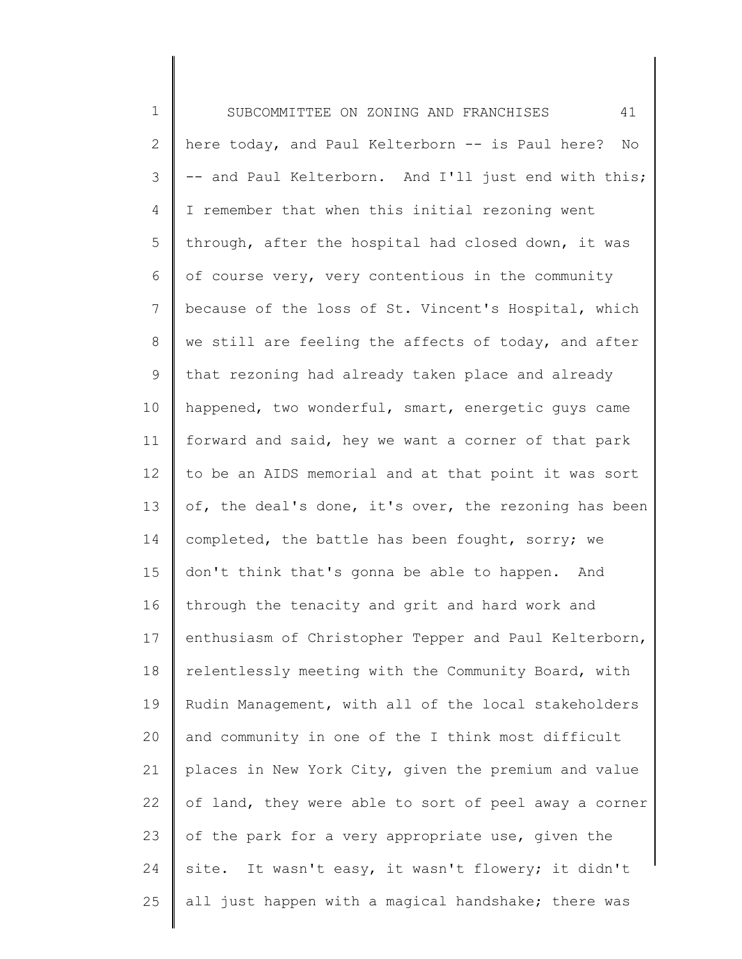1 2 3 4 5 6 7 8 9 10 11 12 13 14 15 16 17 18 19 20 21 22 23 24 25 SUBCOMMITTEE ON ZONING AND FRANCHISES 41 here today, and Paul Kelterborn -- is Paul here? No -- and Paul Kelterborn. And I'll just end with this; I remember that when this initial rezoning went through, after the hospital had closed down, it was of course very, very contentious in the community because of the loss of St. Vincent's Hospital, which we still are feeling the affects of today, and after that rezoning had already taken place and already happened, two wonderful, smart, energetic guys came forward and said, hey we want a corner of that park to be an AIDS memorial and at that point it was sort of, the deal's done, it's over, the rezoning has been completed, the battle has been fought, sorry; we don't think that's gonna be able to happen. And through the tenacity and grit and hard work and enthusiasm of Christopher Tepper and Paul Kelterborn, relentlessly meeting with the Community Board, with Rudin Management, with all of the local stakeholders and community in one of the I think most difficult places in New York City, given the premium and value of land, they were able to sort of peel away a corner of the park for a very appropriate use, given the site. It wasn't easy, it wasn't flowery; it didn't all just happen with a magical handshake; there was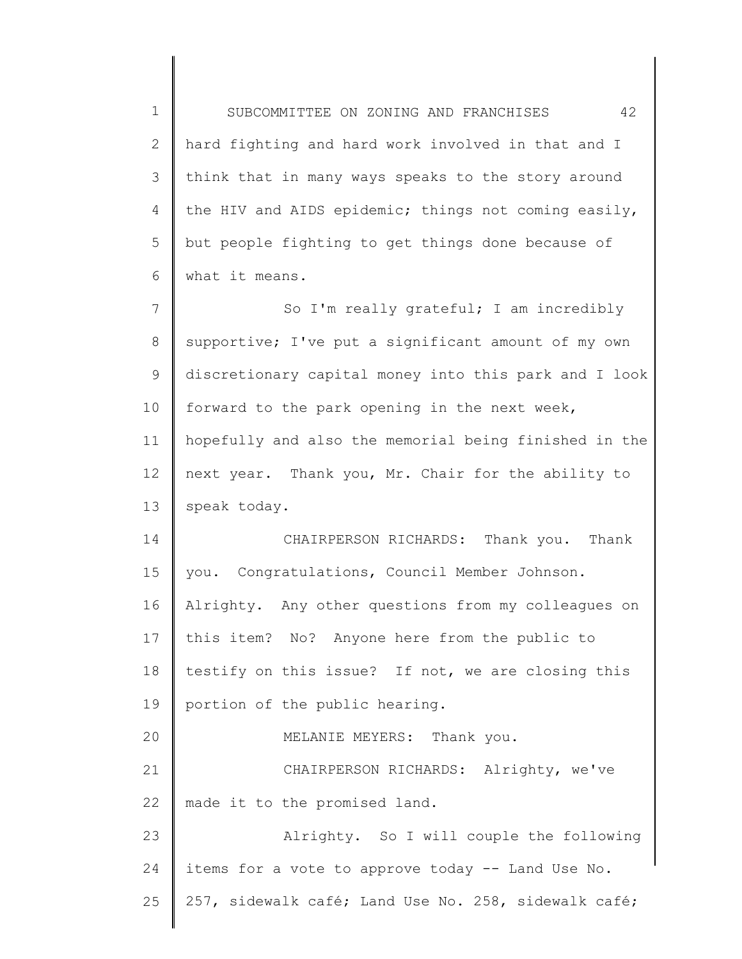1 2 3 4 5 6 7 8 SUBCOMMITTEE ON ZONING AND FRANCHISES 42 hard fighting and hard work involved in that and I think that in many ways speaks to the story around the HIV and AIDS epidemic; things not coming easily, but people fighting to get things done because of what it means. So I'm really grateful; I am incredibly supportive; I've put a significant amount of my own

9 10 11 12 13 discretionary capital money into this park and I look forward to the park opening in the next week, hopefully and also the memorial being finished in the next year. Thank you, Mr. Chair for the ability to speak today.

14 15 16 17 18 19 20 21 22 23 24 CHAIRPERSON RICHARDS: Thank you. Thank you. Congratulations, Council Member Johnson. Alrighty. Any other questions from my colleagues on this item? No? Anyone here from the public to testify on this issue? If not, we are closing this portion of the public hearing. MELANIE MEYERS: Thank you. CHAIRPERSON RICHARDS: Alrighty, we've made it to the promised land. Alrighty. So I will couple the following items for a vote to approve today -- Land Use No.

25 257, sidewalk café; Land Use No. 258, sidewalk café;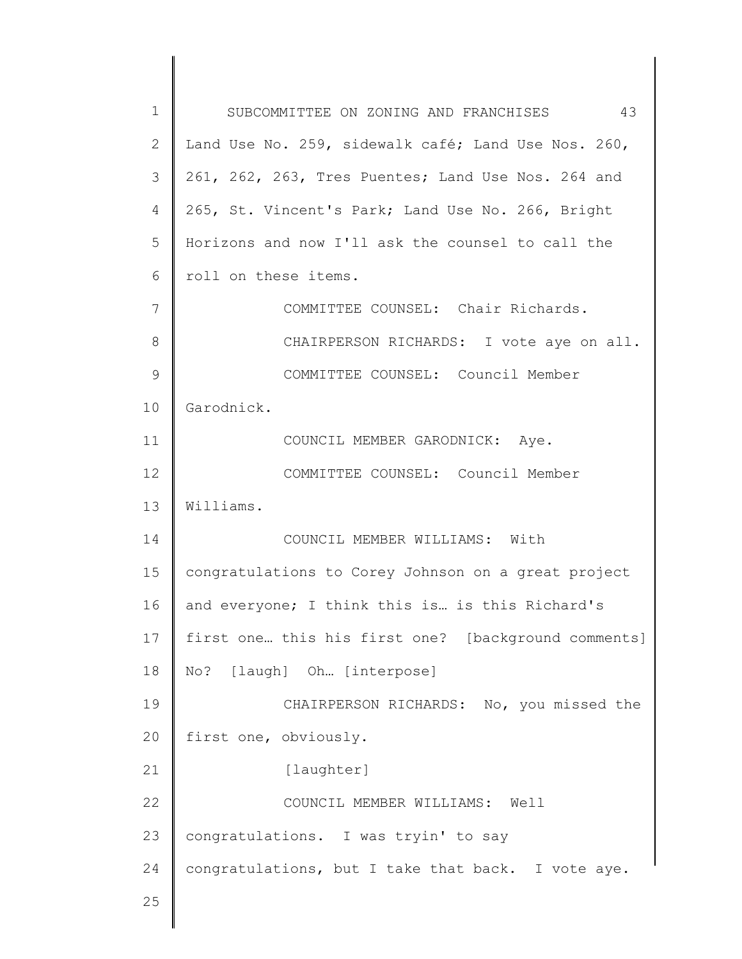| 1  | SUBCOMMITTEE ON ZONING AND FRANCHISES<br>43         |
|----|-----------------------------------------------------|
| 2  | Land Use No. 259, sidewalk café; Land Use Nos. 260, |
| 3  | 261, 262, 263, Tres Puentes; Land Use Nos. 264 and  |
| 4  | 265, St. Vincent's Park; Land Use No. 266, Bright   |
| 5  | Horizons and now I'll ask the counsel to call the   |
| 6  | roll on these items.                                |
| 7  | COMMITTEE COUNSEL: Chair Richards.                  |
| 8  | CHAIRPERSON RICHARDS: I vote aye on all.            |
| 9  | COMMITTEE COUNSEL: Council Member                   |
| 10 | Garodnick.                                          |
| 11 | COUNCIL MEMBER GARODNICK: Aye.                      |
| 12 | COMMITTEE COUNSEL: Council Member                   |
| 13 | Williams.                                           |
| 14 | COUNCIL MEMBER WILLIAMS: With                       |
| 15 | congratulations to Corey Johnson on a great project |
| 16 | and everyone; I think this is is this Richard's     |
| 17 | first one this his first one? [background comments] |
| 18 | No? [laugh] Oh [interpose]                          |
| 19 | CHAIRPERSON RICHARDS: No, you missed the            |
| 20 | first one, obviously.                               |
| 21 | [laughter]                                          |
| 22 | COUNCIL MEMBER WILLIAMS: Well                       |
| 23 | congratulations. I was tryin' to say                |
| 24 | congratulations, but I take that back. I vote aye.  |
| 25 |                                                     |
|    |                                                     |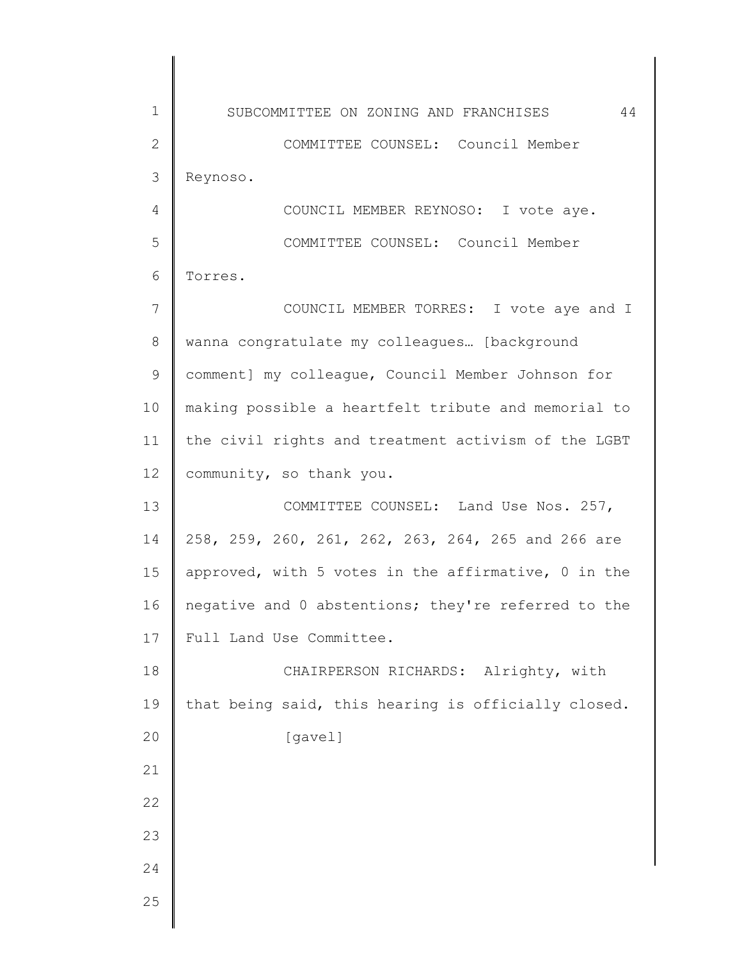1 2 3 4 5 6 7 8 9 10 11 12 13 14 15 16 17 18 19 20 21 22 23 24 25 SUBCOMMITTEE ON ZONING AND FRANCHISES 44 COMMITTEE COUNSEL: Council Member Reynoso. COUNCIL MEMBER REYNOSO: I vote aye. COMMITTEE COUNSEL: Council Member Torres. COUNCIL MEMBER TORRES: I vote aye and I wanna congratulate my colleagues… [background comment] my colleague, Council Member Johnson for making possible a heartfelt tribute and memorial to the civil rights and treatment activism of the LGBT community, so thank you. COMMITTEE COUNSEL: Land Use Nos. 257, 258, 259, 260, 261, 262, 263, 264, 265 and 266 are approved, with 5 votes in the affirmative, 0 in the negative and 0 abstentions; they're referred to the Full Land Use Committee. CHAIRPERSON RICHARDS: Alrighty, with that being said, this hearing is officially closed. [gavel]